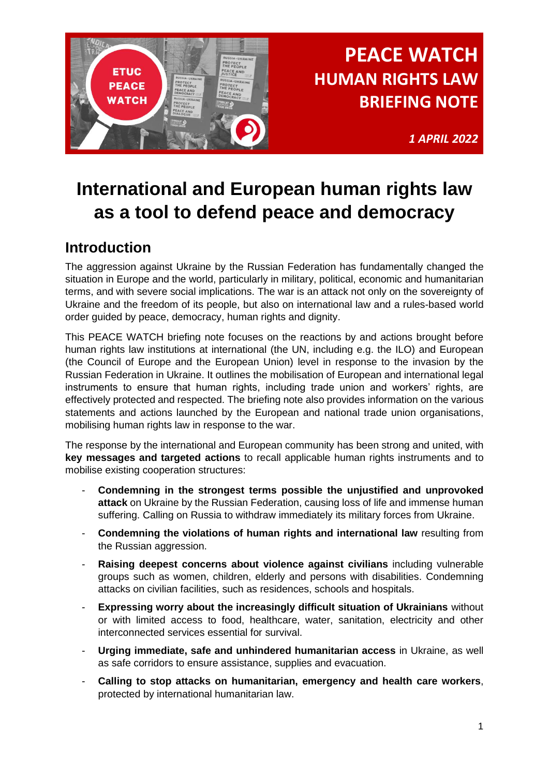

*1 APRIL 2022*

## **International and European human rights law as a tool to defend peace and democracy**

## **Introduction**

The aggression against Ukraine by the Russian Federation has fundamentally changed the situation in Europe and the world, particularly in military, political, economic and humanitarian terms, and with severe social implications. The war is an attack not only on the sovereignty of Ukraine and the freedom of its people, but also on international law and a rules-based world order guided by peace, democracy, human rights and dignity.

This PEACE WATCH briefing note focuses on the reactions by and actions brought before human rights law institutions at international (the UN, including e.g. the ILO) and European (the Council of Europe and the European Union) level in response to the invasion by the Russian Federation in Ukraine. It outlines the mobilisation of European and international legal instruments to ensure that human rights, including trade union and workers' rights, are effectively protected and respected. The briefing note also provides information on the various statements and actions launched by the European and national trade union organisations, mobilising human rights law in response to the war.

The response by the international and European community has been strong and united, with **key messages and targeted actions** to recall applicable human rights instruments and to mobilise existing cooperation structures:

- **Condemning in the strongest terms possible the unjustified and unprovoked attack** on Ukraine by the Russian Federation, causing loss of life and immense human suffering. Calling on Russia to withdraw immediately its military forces from Ukraine.
- **Condemning the violations of human rights and international law** resulting from the Russian aggression.
- **Raising deepest concerns about violence against civilians** including vulnerable groups such as women, children, elderly and persons with disabilities. Condemning attacks on civilian facilities, such as residences, schools and hospitals.
- **Expressing worry about the increasingly difficult situation of Ukrainians** without or with limited access to food, healthcare, water, sanitation, electricity and other interconnected services essential for survival.
- **Urging immediate, safe and unhindered humanitarian access** in Ukraine, as well as safe corridors to ensure assistance, supplies and evacuation.
- **Calling to stop attacks on humanitarian, emergency and health care workers**, protected by international humanitarian law.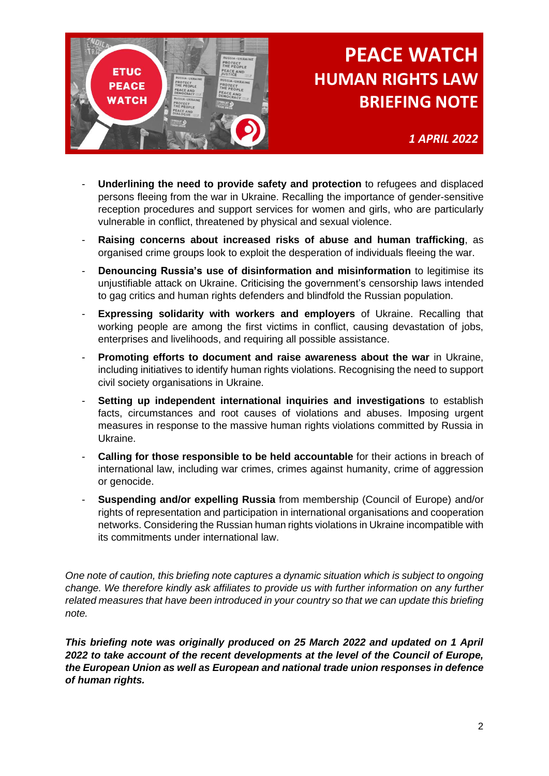

*1 APRIL 2022*

- **Underlining the need to provide safety and protection** to refugees and displaced persons fleeing from the war in Ukraine. Recalling the importance of gender-sensitive reception procedures and support services for women and girls, who are particularly vulnerable in conflict, threatened by physical and sexual violence.
- **Raising concerns about increased risks of abuse and human trafficking**, as organised crime groups look to exploit the desperation of individuals fleeing the war.
- **Denouncing Russia's use of disinformation and misinformation** to legitimise its unjustifiable attack on Ukraine. Criticising the government's censorship laws intended to gag critics and human rights defenders and blindfold the Russian population.
- **Expressing solidarity with workers and employers** of Ukraine. Recalling that working people are among the first victims in conflict, causing devastation of jobs, enterprises and livelihoods, and requiring all possible assistance.
- **Promoting efforts to document and raise awareness about the war** in Ukraine, including initiatives to identify human rights violations. Recognising the need to support civil society organisations in Ukraine.
- **Setting up independent international inquiries and investigations** to establish facts, circumstances and root causes of violations and abuses. Imposing urgent measures in response to the massive human rights violations committed by Russia in Ukraine.
- Calling for those responsible to be held accountable for their actions in breach of international law, including war crimes, crimes against humanity, crime of aggression or genocide.
- **Suspending and/or expelling Russia** from membership (Council of Europe) and/or rights of representation and participation in international organisations and cooperation networks. Considering the Russian human rights violations in Ukraine incompatible with its commitments under international law.

*One note of caution, this briefing note captures a dynamic situation which is subject to ongoing change. We therefore kindly ask affiliates to provide us with further information on any further related measures that have been introduced in your country so that we can update this briefing note.*

*This briefing note was originally produced on 25 March 2022 and updated on 1 April 2022 to take account of the recent developments at the level of the Council of Europe, the European Union as well as European and national trade union responses in defence of human rights.*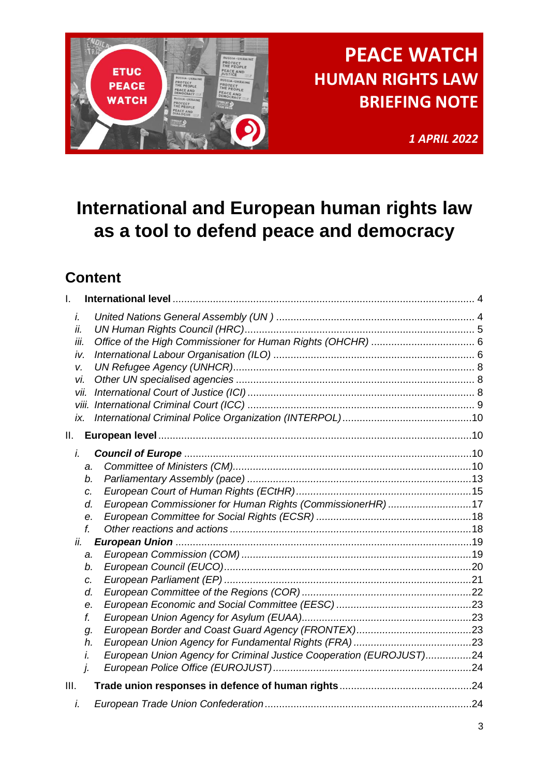

*1 APRIL 2022*

# **International and European human rights law as a tool to defend peace and democracy**

## **Content**

| L.                                                                                                        |                                                                                                                                   |
|-----------------------------------------------------------------------------------------------------------|-----------------------------------------------------------------------------------------------------------------------------------|
| i.<br>ii.<br>iii.<br>iv.<br>V.<br>vi.<br>vii.<br>ix.                                                      |                                                                                                                                   |
| Ш.                                                                                                        |                                                                                                                                   |
| i.<br>a.<br>b.<br>C.<br>d.<br>е.<br>f.<br>ii.<br>a.<br>b.<br>c.<br>d.<br>е.<br>f.<br>g.<br>h.<br>i.<br>j. | European Commissioner for Human Rights (CommissionerHR) 17<br>European Union Agency for Criminal Justice Cooperation (EUROJUST)24 |
| III.                                                                                                      |                                                                                                                                   |
| i.                                                                                                        |                                                                                                                                   |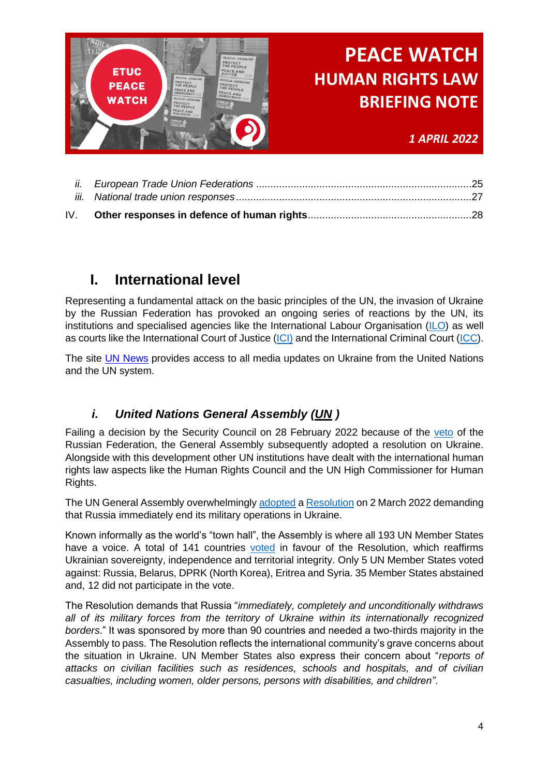

*1 APRIL 2022*

## <span id="page-3-0"></span>**I. International level**

Representing a fundamental attack on the basic principles of the UN, the invasion of Ukraine by the Russian Federation has provoked an ongoing series of reactions by the UN, its institutions and specialised agencies like the International Labour Organisation [\(ILO\)](https://www.ilo.org/global/lang--en/index.htm) as well as courts like the International Court of Justice [\(ICI\)](https://www.icj-cij.org/) and the International Criminal Court [\(ICC\)](https://www.icc-cpi.int/Pages/Home.aspx).

The site [UN News](https://news.un.org/en/tags/ukraine) provides access to all media updates on Ukraine from the United Nations and the UN system.

### *i. United Nations General Assembly [\(UN](https://news.un.org/en/) )*

<span id="page-3-1"></span>Failing a decision by the Security Council on 28 February 2022 because of the [veto](https://www.un.org/press/en/2022/sc14808.doc.htm) of the Russian Federation, the General Assembly subsequently adopted a resolution on Ukraine. Alongside with this development other UN institutions have dealt with the international human rights law aspects like the Human Rights Council and the UN High Commissioner for Human Rights.

The UN General Assembly overwhelmingly [adopted](https://www.un.org/press/en/2022/ga12407.doc.htm) a [Resolution](https://documents-dds-ny.un.org/doc/UNDOC/LTD/N22/272/27/PDF/N2227227.pdf?OpenElement) on 2 March 2022 demanding that Russia immediately end its military operations in Ukraine.

Known informally as the world's "town hall", the Assembly is where all 193 UN Member States have a voice. A total of 141 countries [voted](https://news.un.org/en/story/2022/03/1113152) in favour of the Resolution, which reaffirms Ukrainian sovereignty, independence and territorial integrity. Only 5 UN Member States voted against: Russia, Belarus, DPRK (North Korea), Eritrea and Syria. 35 Member States abstained and, 12 did not participate in the vote.

The Resolution demands that Russia "*immediately, completely and unconditionally withdraws all of its military forces from the territory of Ukraine within its internationally recognized borders*." It was sponsored by more than 90 countries and needed a two-thirds majority in the Assembly to pass. The Resolution reflects the international community's grave concerns about the situation in Ukraine. UN Member States also express their concern about "*reports of attacks on civilian facilities such as residences, schools and hospitals, and of civilian casualties, including women, older persons, persons with disabilities, and children"*.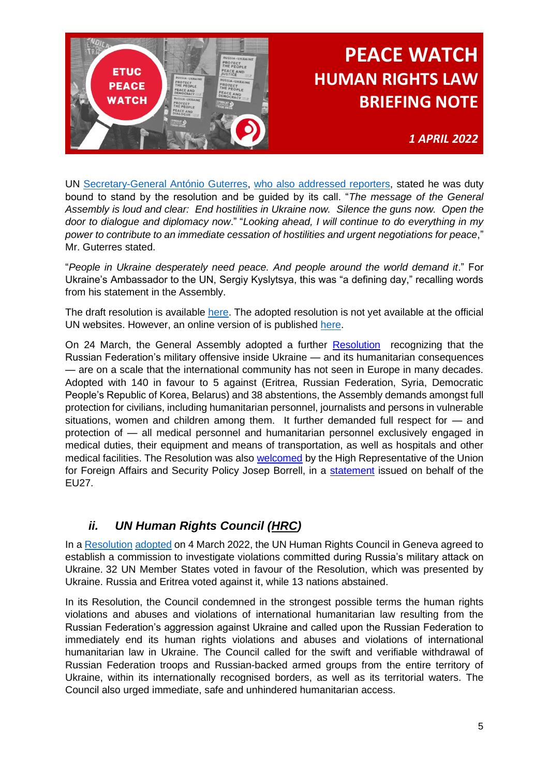

*1 APRIL 2022*

UN [Secretary-General António Guterres,](https://www.un.org/sg/) [who also addressed reporters,](https://www.un.org/sg/en/node/262163) stated he was duty bound to stand by the resolution and be guided by its call. "*The message of the General Assembly is loud and clear: End hostilities in Ukraine now. Silence the guns now. Open the door to dialogue and diplomacy now*." "*Looking ahead, I will continue to do everything in my power to contribute to an immediate cessation of hostilities and urgent negotiations for peace*," Mr. Guterres stated.

"*People in Ukraine desperately need peace. And people around the world demand it*." For Ukraine's Ambassador to the UN, Sergiy Kyslytsya, this was "a defining day," recalling words from his statement in the Assembly.

The draft resolution is available [here.](https://documents-dds-ny.un.org/doc/UNDOC/LTD/N22/272/27/PDF/N2227227.pdf?OpenElement) The adopted resolution is not yet available at the official UN websites. However, an online version of is published [here.](https://www.aljazeera.com/news/2022/3/3/unga-resolution-against-ukraine-invasion-full-text)

On 24 March, the General Assembly adopted a further [Resolution](https://www.un.org/press/en/2022/ga12411.doc.htm) recognizing that the Russian Federation's military offensive inside Ukraine — and its humanitarian consequences — are on a scale that the international community has not seen in Europe in many decades. Adopted with 140 in favour to 5 against (Eritrea, Russian Federation, Syria, Democratic People's Republic of Korea, Belarus) and 38 abstentions, the Assembly demands amongst full protection for civilians, including humanitarian personnel, journalists and persons in vulnerable situations, women and children among them. It further demanded full respect for — and protection of — all medical personnel and humanitarian personnel exclusively engaged in medical duties, their equipment and means of transportation, as well as hospitals and other medical facilities. The Resolution was also [welcomed](https://agenceurope.eu/en/bulletin/article/12919/8) by the High Representative of the Union for Foreign Affairs and Security Policy Josep Borrell, in a [statement](https://www.eeas.europa.eu/eeas/russiaukraine-statement-high-representative-josep-borrell-shelling-eu-advisory-mission-field_en) issued on behalf of the EU27.

### *ii. UN Human Rights Council [\(HRC\)](https://www.ohchr.org/en/hrbodies/hrc/pages/home.aspx)*

<span id="page-4-0"></span>In a [Resolution](https://www.ungeneva.org/en/news-media/meeting-summary/2022/03/morning-human-rights-council-establishes-independent) [adopted](https://www.ungeneva.org/en/news-media/meeting-summary/2022/03/morning-human-rights-council-establishes-independent) on 4 March 2022, the UN Human Rights Council in Geneva agreed to establish a commission to investigate violations committed during Russia's military attack on Ukraine. 32 UN Member States voted in favour of the Resolution, which was presented by Ukraine. Russia and Eritrea voted against it, while 13 nations abstained.

In its Resolution, the Council condemned in the strongest possible terms the human rights violations and abuses and violations of international humanitarian law resulting from the Russian Federation's aggression against Ukraine and called upon the Russian Federation to immediately end its human rights violations and abuses and violations of international humanitarian law in Ukraine. The Council called for the swift and verifiable withdrawal of Russian Federation troops and Russian-backed armed groups from the entire territory of Ukraine, within its internationally recognised borders, as well as its territorial waters. The Council also urged immediate, safe and unhindered humanitarian access.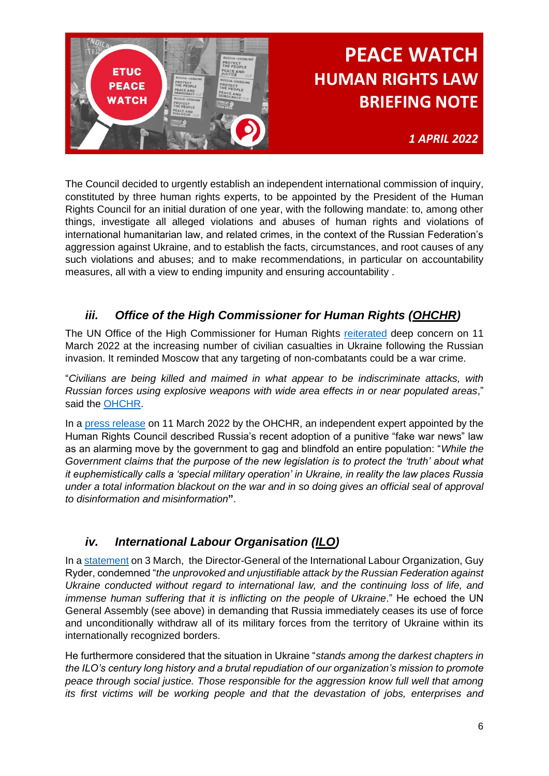

*1 APRIL 2022*

The Council decided to urgently establish an independent international commission of inquiry, constituted by three human rights experts, to be appointed by the President of the Human Rights Council for an initial duration of one year, with the following mandate: to, among other things, investigate all alleged violations and abuses of human rights and violations of international humanitarian law, and related crimes, in the context of the Russian Federation's aggression against Ukraine, and to establish the facts, circumstances, and root causes of any such violations and abuses; and to make recommendations, in particular on accountability measures, all with a view to ending impunity and ensuring accountability .

### *iii. Office of the High Commissioner for Human Rights [\(OHCHR\)](http://www.ohchr.org/EN/pages/home.aspx)*

<span id="page-5-0"></span>The UN Office of the High Commissioner for Human Rights [reiterated](https://www.ohchr.org/EN/NewsEvents/Pages/DisplayNews.aspx?NewsID=28262&LangID=E) deep concern on 11 March 2022 at the increasing number of civilian casualties in Ukraine following the Russian invasion. It reminded Moscow that any targeting of non-combatants could be a war crime.

"*Civilians are being killed and maimed in what appear to be indiscriminate attacks, with Russian forces using explosive weapons with wide area effects in or near populated areas*," said the [OHCHR.](http://www.ohchr.org/EN/pages/home.aspx)

In a [press release](https://www.ohchr.org/EN/NewsEvents/Pages/DisplayNews.aspx?NewsID=28264&LangID=E) on 11 March 2022 by the OHCHR, an independent expert appointed by the Human Rights Council described Russia's recent adoption of a punitive "fake war news" law as an alarming move by the government to gag and blindfold an entire population: "*While the Government claims that the purpose of the new legislation is to protect the 'truth' about what it euphemistically calls a 'special military operation' in Ukraine, in reality the law places Russia under a total information blackout on the war and in so doing gives an official seal of approval to disinformation and misinformation***"**.

### *iv. International Labour Organisation [\(ILO\)](https://www.ilo.org/global/lang--en/index.htm)*

<span id="page-5-1"></span>In a [statement](https://www.ilo.org/global/about-the-ilo/newsroom/news/WCMS_838518/lang--en/index.htm) on 3 March, the Director-General of the International Labour Organization, Guy Ryder, condemned "*the unprovoked and unjustifiable attack by the Russian Federation against Ukraine conducted without regard to international law, and the continuing loss of life, and immense human suffering that it is inflicting on the people of Ukraine.*" He echoed the UN General Assembly (see above) in demanding that Russia immediately ceases its use of force and unconditionally withdraw all of its military forces from the territory of Ukraine within its internationally recognized borders.

He furthermore considered that the situation in Ukraine "*stands among the darkest chapters in the ILO's century long history and a brutal repudiation of our organization's mission to promote peace through social justice. Those responsible for the aggression know full well that among its first victims will be working people and that the devastation of jobs, enterprises and*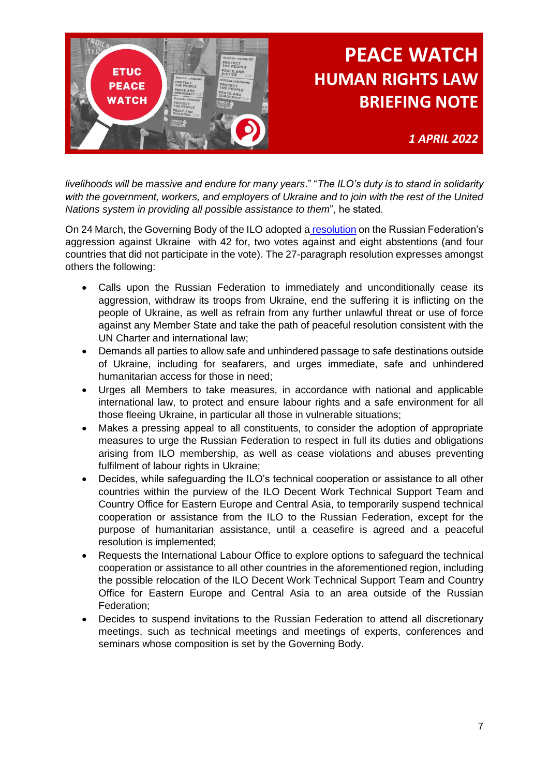

*1 APRIL 2022*

*livelihoods will be massive and endure for many years*." "*The ILO's duty is to stand in solidarity with the government, workers, and employers of Ukraine and to join with the rest of the United Nations system in providing all possible assistance to them*", he stated.

On 24 March, the Governing Body of the ILO adopted a [resolution](https://www.ilo.org/global/about-the-ilo/newsroom/news/WCMS_840263/lang--en/index.htm) on the Russian Federation's aggression against Ukraine with 42 for, two votes against and eight abstentions (and four countries that did not participate in the vote). The 27-paragraph resolution expresses amongst others the following:

- Calls upon the Russian Federation to immediately and unconditionally cease its aggression, withdraw its troops from Ukraine, end the suffering it is inflicting on the people of Ukraine, as well as refrain from any further unlawful threat or use of force against any Member State and take the path of peaceful resolution consistent with the UN Charter and international law;
- Demands all parties to allow safe and unhindered passage to safe destinations outside of Ukraine, including for seafarers, and urges immediate, safe and unhindered humanitarian access for those in need;
- Urges all Members to take measures, in accordance with national and applicable international law, to protect and ensure labour rights and a safe environment for all those fleeing Ukraine, in particular all those in vulnerable situations;
- Makes a pressing appeal to all constituents, to consider the adoption of appropriate measures to urge the Russian Federation to respect in full its duties and obligations arising from ILO membership, as well as cease violations and abuses preventing fulfilment of labour rights in Ukraine;
- Decides, while safeguarding the ILO's technical cooperation or assistance to all other countries within the purview of the ILO Decent Work Technical Support Team and Country Office for Eastern Europe and Central Asia, to temporarily suspend technical cooperation or assistance from the ILO to the Russian Federation, except for the purpose of humanitarian assistance, until a ceasefire is agreed and a peaceful resolution is implemented;
- Requests the International Labour Office to explore options to safeguard the technical cooperation or assistance to all other countries in the aforementioned region, including the possible relocation of the ILO Decent Work Technical Support Team and Country Office for Eastern Europe and Central Asia to an area outside of the Russian Federation;
- Decides to suspend invitations to the Russian Federation to attend all discretionary meetings, such as technical meetings and meetings of experts, conferences and seminars whose composition is set by the Governing Body.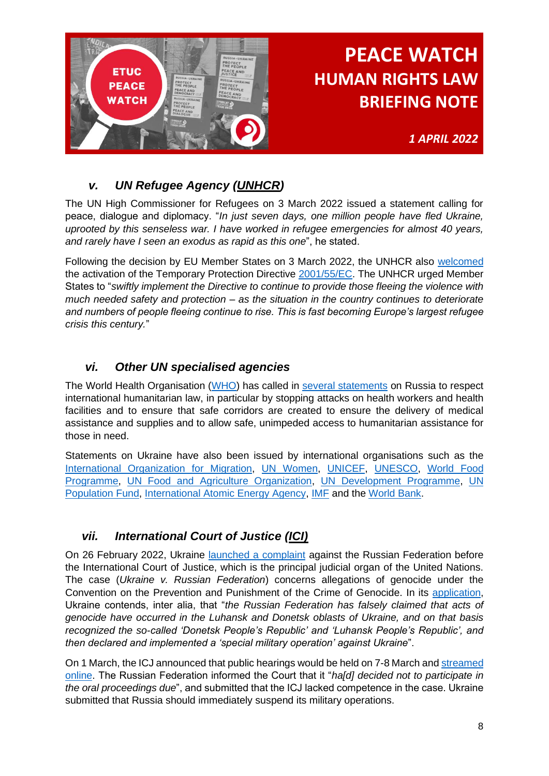

*1 APRIL 2022*

### *v. UN Refugee Agency [\(UNHCR\)](https://www.unhcr.org/)*

<span id="page-7-0"></span>The UN High Commissioner for Refugees on 3 March 2022 issued a statement calling for peace, dialogue and diplomacy. "*In just seven days, one million people have fled Ukraine, uprooted by this senseless war. I have worked in refugee emergencies for almost 40 years, and rarely have I seen an exodus as rapid as this one*", he stated.

Following the decision by EU Member States on 3 March 2022, the UNHCR also [welcomed](https://www.unhcr.org/news/press/2022/3/6221f1c84/news-comment-unhcr-welcomes-eu-decision-offer-temporary-protection-refugees.html) the activation of the Temporary Protection Directive [2001/55/EC.](https://eur-lex.europa.eu/legal-content/EN/TXT/?uri=celex:32001L0055) The UNHCR urged Member States to "*swiftly implement the Directive to continue to provide those fleeing the violence with much needed safety and protection – as the situation in the country continues to deteriorate and numbers of people fleeing continue to rise. This is fast becoming Europe's largest refugee crisis this century.*"

### *vi. Other UN specialised agencies*

<span id="page-7-1"></span>The World Health Organisation [\(WHO\)](https://www.who.int/) has called in [several statements](https://www.euro.who.int/en/health-topics/health-emergencies/ukraine-emergency) on Russia to respect international humanitarian law, in particular by stopping attacks on health workers and health facilities and to ensure that safe corridors are created to ensure the delivery of medical assistance and supplies and to allow safe, unimpeded access to humanitarian assistance for those in need.

Statements on Ukraine have also been issued by international organisations such as the [International Organization for Migration,](https://www.iom.int/speeches/statement-situation-ukraine-iom-director-general-antonio-vitorino) [UN Women,](https://www.unwomen.org/en/news-stories/statement/2022/02/statement-by-un-women-executive-director-sima-bahous-on-ukraine) [UNICEF,](https://www.unicef.org/press-releases/unaccompanied-and-separated-children-fleeing-escalating-conflict-ukraine-must-be) [UNESCO,](https://www.unesco.org/en/articles/ukraine-unesco-statement-following-adoption-un-general-assembly-resolution) [World Food](https://www.wfp.org/news/wfp-ramps-food-operation-ukraine-and-warns-worlds-hungry-cannot-afford-another-conflict)  [Programme,](https://www.wfp.org/news/wfp-ramps-food-operation-ukraine-and-warns-worlds-hungry-cannot-afford-another-conflict) [UN Food and Agriculture Organization,](https://www.fao.org/director-general/news/news-article/en/c/1476480/) [UN Development Programme,](https://www.undp.org/speeches/statement-urgent-debate-situation-human-rights-ukraine-stemming-russian-aggression) [UN](https://www.unfpa.org/press/stop-attacks-health-care-ukraine)  [Population Fund,](https://www.unfpa.org/press/stop-attacks-health-care-ukraine) [International Atomic Energy Agency,](https://www.iaea.org/newscenter/pressreleases/update-21-iaea-director-general-statement-on-situation-in-ukraine) [IMF](https://www.imf.org/en/News/Articles/2022/03/08/pr2267-statement-kristalina-georgieva-meeting-uneca-african-min-finance-cent-bank-gov-impact-ukraine) and the [World Bank.](https://www.worldbank.org/en/news/statement/2022/03/01/joint-imf-wbg-statement-on-the-war-in-ukraine)

### <span id="page-7-2"></span>*vii. International Court of Justice [\(ICI\)](https://www.icj-cij.org/)*

On 26 February 2022, Ukraine [launched a complaint](https://www.icj-cij.org/en/case/182/press-releases) against the Russian Federation before the International Court of Justice, which is the principal judicial organ of the United Nations. The case (*Ukraine v. Russian Federation*) concerns allegations of genocide under the Convention on the Prevention and Punishment of the Crime of Genocide. In its [application,](https://www.icj-cij.org/public/files/case-related/182/182-20220227-PRE-01-00-EN.pdf) Ukraine contends, inter alia, that "*the Russian Federation has falsely claimed that acts of genocide have occurred in the Luhansk and Donetsk oblasts of Ukraine, and on that basis recognized the so-called 'Donetsk People's Republic' and 'Luhansk People's Republic', and then declared and implemented a 'special military operation' against Ukraine*".

On 1 March, the ICJ announced that public hearings would be held on 7-8 March an[d streamed](https://www.icj-cij.org/en/multimedia/62224390045e580af31b0b02)  [online.](https://www.icj-cij.org/en/multimedia/62224390045e580af31b0b02) The Russian Federation informed the Court that it "*ha[d] decided not to participate in the oral proceedings due*", and submitted that the ICJ lacked competence in the case. Ukraine submitted that Russia should immediately suspend its military operations.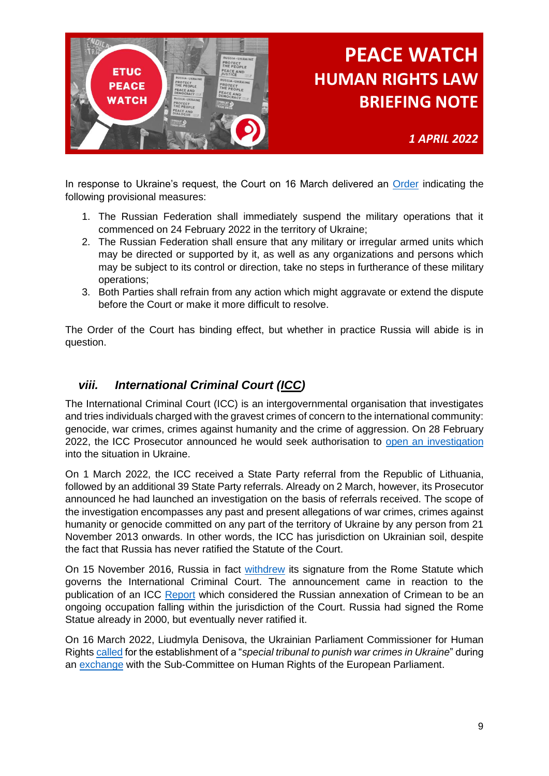

*1 APRIL 2022*

In response to Ukraine's request, the Court on 16 March delivered an [Order](https://www.icj-cij.org/public/files/case-related/182/182-20220316-PRE-01-00-EN.pdf) indicating the following provisional measures:

- 1. The Russian Federation shall immediately suspend the military operations that it commenced on 24 February 2022 in the territory of Ukraine;
- 2. The Russian Federation shall ensure that any military or irregular armed units which may be directed or supported by it, as well as any organizations and persons which may be subject to its control or direction, take no steps in furtherance of these military operations;
- 3. Both Parties shall refrain from any action which might aggravate or extend the dispute before the Court or make it more difficult to resolve.

The Order of the Court has binding effect, but whether in practice Russia will abide is in question.

### <span id="page-8-0"></span>*viii. International Criminal Court [\(ICC\)](https://www.icc-cpi.int/Pages/Home.aspx)*

The International Criminal Court (ICC) is an intergovernmental organisation that investigates and tries individuals charged with the gravest crimes of concern to the international community: genocide, war crimes, crimes against humanity and the crime of aggression. On 28 February 2022, the ICC Prosecutor announced he would seek authorisation to [open an investigation](https://www.icc-cpi.int/ukraine) into the situation in Ukraine.

On 1 March 2022, the ICC received a State Party referral from the Republic of Lithuania, followed by an additional 39 State Party referrals. Already on 2 March, however, its Prosecutor announced he had launched an investigation on the basis of referrals received. The scope of the investigation encompasses any past and present allegations of war crimes, crimes against humanity or genocide committed on any part of the territory of Ukraine by any person from 21 November 2013 onwards. In other words, the ICC has jurisdiction on Ukrainian soil, despite the fact that Russia has never ratified the Statute of the Court.

On 15 November 2016, Russia in fact [withdrew](https://www.theguardian.com/world/2016/nov/16/russia-withdraws-signature-from-international-criminal-court-statute) its signature from the Rome Statute which governs the International Criminal Court. The announcement came in reaction to the publication of an ICC [Report](https://www.icc-cpi.int/iccdocs/otp/161114-otp-rep-PE_ENG.pdf) which considered the Russian annexation of Crimean to be an ongoing occupation falling within the jurisdiction of the Court. Russia had signed the Rome Statue already in 2000, but eventually never ratified it.

On 16 March 2022, Liudmyla Denisova, the Ukrainian Parliament Commissioner for Human Right[s called](https://agenceurope.eu/en/bulletin/article/12912/2) for the establishment of a "*special tribunal to punish war crimes in Ukraine*" during an [exchange](https://www.europarl.europa.eu/news/en/press-room/20220315IPR25506/debate-with-ukrainian-parliament-commissioner-for-human-rights-liudmyla-denisova) with the Sub-Committee on Human Rights of the European Parliament.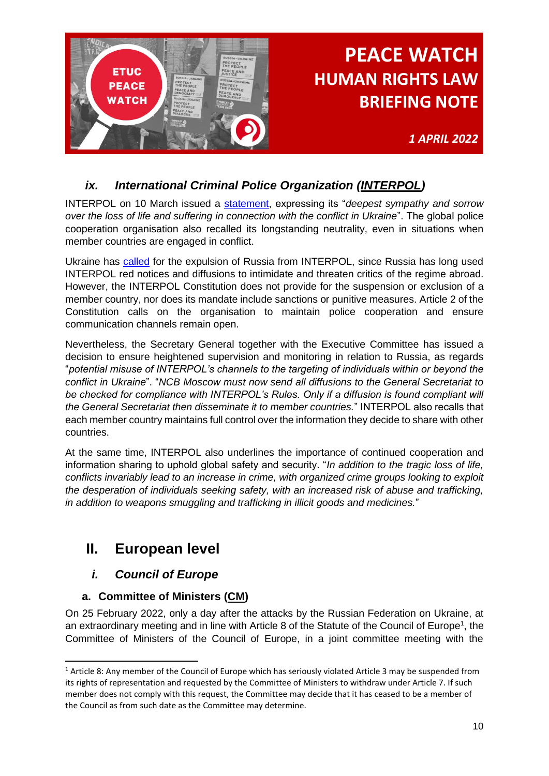

*1 APRIL 2022*

### *ix. International Criminal Police Organization [\(INTERPOL\)](https://www.interpol.int/)*

<span id="page-9-0"></span>INTERPOL on 10 March issued a [statement,](https://www.interpol.int/News-and-Events/News/2022/Ukraine-INTERPOL-General-Secretariat-statement) expressing its "*deepest sympathy and sorrow over the loss of life and suffering in connection with the conflict in Ukraine*". The global police cooperation organisation also recalled its longstanding neutrality, even in situations when member countries are engaged in conflict.

Ukraine has [called](https://www.fairtrials.org/articles/news/fair-trials-response-ukraine-russia-interpol/) for the expulsion of Russia from INTERPOL, since Russia has long used INTERPOL red notices and diffusions to intimidate and threaten critics of the regime abroad. However, the INTERPOL Constitution does not provide for the suspension or exclusion of a member country, nor does its mandate include sanctions or punitive measures. Article 2 of the Constitution calls on the organisation to maintain police cooperation and ensure communication channels remain open.

Nevertheless, the Secretary General together with the Executive Committee has issued a decision to ensure heightened supervision and monitoring in relation to Russia, as regards "*potential misuse of INTERPOL's channels to the targeting of individuals within or beyond the conflict in Ukraine*". "*NCB Moscow must now send all diffusions to the General Secretariat to be checked for compliance with INTERPOL's Rules. Only if a diffusion is found compliant will the General Secretariat then disseminate it to member countries.*" INTERPOL also recalls that each member country maintains full control over the information they decide to share with other countries.

At the same time, INTERPOL also underlines the importance of continued cooperation and information sharing to uphold global safety and security. "*In addition to the tragic loss of life, conflicts invariably lead to an increase in crime, with organized crime groups looking to exploit the desperation of individuals seeking safety, with an increased risk of abuse and trafficking, in addition to weapons smuggling and trafficking in illicit goods and medicines.*"

## <span id="page-9-1"></span>**II. European level**

### <span id="page-9-2"></span>*i. Council of Europe*

### <span id="page-9-3"></span>**a. Committee of Ministers [\(CM\)](https://www.coe.int/en/web/cm)**

On 25 February 2022, only a day after the attacks by the Russian Federation on Ukraine, at an extraordinary meeting and in line with Article 8 of the Statute of the Council of Europe<sup>1</sup>, the Committee of Ministers of the Council of Europe, in a joint committee meeting with the

<sup>&</sup>lt;sup>1</sup> Article 8: Any member of the Council of Europe which has seriously violated Article 3 may be suspended from its rights of representation and requested by the Committee of Ministers to withdraw under Article 7. If such member does not comply with this request, the Committee may decide that it has ceased to be a member of the Council as from such date as the Committee may determine.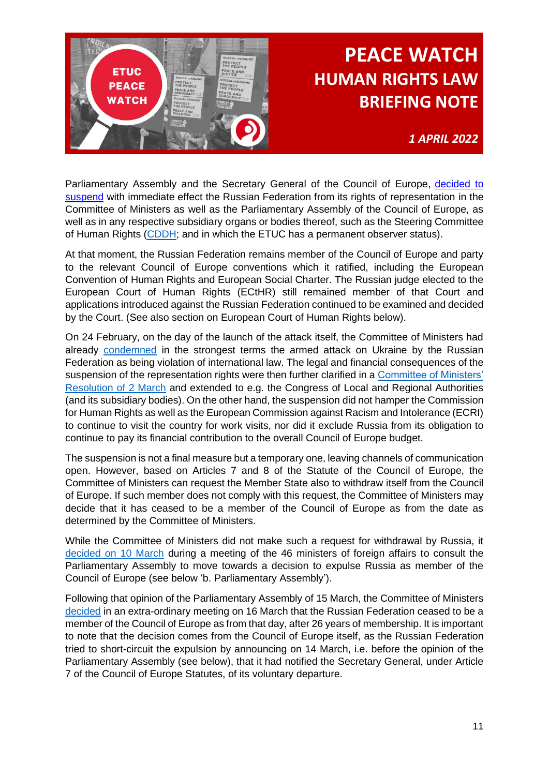

*1 APRIL 2022*

Parliamentary Assembly and the Secretary General of the Council of Europe, decided to [suspend](https://www.coe.int/en/web/portal/-/council-of-europe-suspends-russia-s-rights-of-representation) with immediate effect the Russian Federation from its rights of representation in the Committee of Ministers as well as the Parliamentary Assembly of the Council of Europe, as well as in any respective subsidiary organs or bodies thereof, such as the Steering Committee of Human Rights [\(CDDH;](https://www.coe.int/en/web/human-rights-intergovernmental-cooperation) and in which the ETUC has a permanent observer status).

At that moment, the Russian Federation remains member of the Council of Europe and party to the relevant Council of Europe conventions which it ratified, including the European Convention of Human Rights and European Social Charter. The Russian judge elected to the European Court of Human Rights (ECtHR) still remained member of that Court and applications introduced against the Russian Federation continued to be examined and decided by the Court. (See also section on European Court of Human Rights below).

On 24 February, on the day of the launch of the attack itself, the Committee of Ministers had already [condemned](https://www.coe.int/en/web/portal/-/situation-in-ukraine-decisions-by-council-of-europe-s-committee-of-ministers) in the strongest terms the armed attack on Ukraine by the Russian Federation as being violation of international law. The legal and financial consequences of the suspension of the representation rights were then further clarified in a [Committee of Ministers'](https://search.coe.int/cm/Pages/result_details.aspx?ObjectID=0900001680a5b15f)  [Resolution of 2 March](https://search.coe.int/cm/Pages/result_details.aspx?ObjectID=0900001680a5b15f) and extended to e.g. the Congress of Local and Regional Authorities (and its subsidiary bodies). On the other hand, the suspension did not hamper the Commission for Human Rights as well as the European Commission against Racism and Intolerance (ECRI) to continue to visit the country for work visits, nor did it exclude Russia from its obligation to continue to pay its financial contribution to the overall Council of Europe budget.

The suspension is not a final measure but a temporary one, leaving channels of communication open. However, based on Articles 7 and 8 of the Statute of the Council of Europe, the Committee of Ministers can request the Member State also to withdraw itself from the Council of Europe. If such member does not comply with this request, the Committee of Ministers may decide that it has ceased to be a member of the Council of Europe as from the date as determined by the Committee of Ministers.

While the Committee of Ministers did not make such a request for withdrawal by Russia, it [decided on 10 March](https://search.coe.int/cm/Pages/result_details.aspx?ObjectID=0900001680a5c619) during a meeting of the 46 ministers of foreign affairs to consult the Parliamentary Assembly to move towards a decision to expulse Russia as member of the Council of Europe (see below 'b. Parliamentary Assembly').

Following that opinion of the Parliamentary Assembly of 15 March, the Committee of Ministers [decided](https://search.coe.int/cm/pages/result_details.aspx?objectid=0900001680a5d7d9) in an extra-ordinary meeting on 16 March that the Russian Federation ceased to be a member of the Council of Europe as from that day, after 26 years of membership. It is important to note that the decision comes from the Council of Europe itself, as the Russian Federation tried to short-circuit the expulsion by announcing on 14 March, i.e. before the opinion of the Parliamentary Assembly (see below), that it had notified the Secretary General, under Article 7 of the Council of Europe Statutes, of its voluntary departure.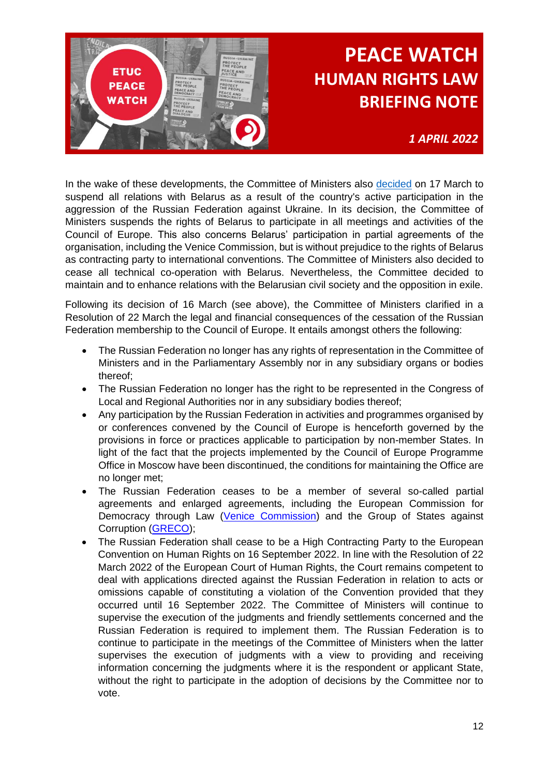

*1 APRIL 2022*

In the wake of these developments, the Committee of Ministers also [decided](https://search.coe.int/cm/pages/result_details.aspx?objectid=0900001680a5dcfb) on 17 March to suspend all relations with Belarus as a result of the country's active participation in the aggression of the Russian Federation against Ukraine. In its decision, the Committee of Ministers suspends the rights of Belarus to participate in all meetings and activities of the Council of Europe. This also concerns Belarus' participation in partial agreements of the organisation, including the Venice Commission, but is without prejudice to the rights of Belarus as contracting party to international conventions. The Committee of Ministers also decided to cease all technical co-operation with Belarus. Nevertheless, the Committee decided to maintain and to enhance relations with the Belarusian civil society and the opposition in exile.

Following its decision of 16 March (see above), the Committee of Ministers clarified in a Resolution of 22 March the legal and financial consequences of the cessation of the Russian Federation membership to the Council of Europe. It entails amongst others the following:

- The Russian Federation no longer has any rights of representation in the Committee of Ministers and in the Parliamentary Assembly nor in any subsidiary organs or bodies thereof;
- The Russian Federation no longer has the right to be represented in the Congress of Local and Regional Authorities nor in any subsidiary bodies thereof;
- Any participation by the Russian Federation in activities and programmes organised by or conferences convened by the Council of Europe is henceforth governed by the provisions in force or practices applicable to participation by non-member States. In light of the fact that the projects implemented by the Council of Europe Programme Office in Moscow have been discontinued, the conditions for maintaining the Office are no longer met;
- The Russian Federation ceases to be a member of several so-called partial agreements and enlarged agreements, including the European Commission for Democracy through Law [\(Venice Commission\)](https://www.venice.coe.int/WebForms/pages/?p=01_Presentation&lang=EN) and the Group of States against Corruption [\(GRECO\)](https://www.coe.int/en/web/greco);
- The Russian Federation shall cease to be a High Contracting Party to the European Convention on Human Rights on 16 September 2022. In line with the Resolution of 22 March 2022 of the European Court of Human Rights, the Court remains competent to deal with applications directed against the Russian Federation in relation to acts or omissions capable of constituting a violation of the Convention provided that they occurred until 16 September 2022. The Committee of Ministers will continue to supervise the execution of the judgments and friendly settlements concerned and the Russian Federation is required to implement them. The Russian Federation is to continue to participate in the meetings of the Committee of Ministers when the latter supervises the execution of judgments with a view to providing and receiving information concerning the judgments where it is the respondent or applicant State, without the right to participate in the adoption of decisions by the Committee nor to vote.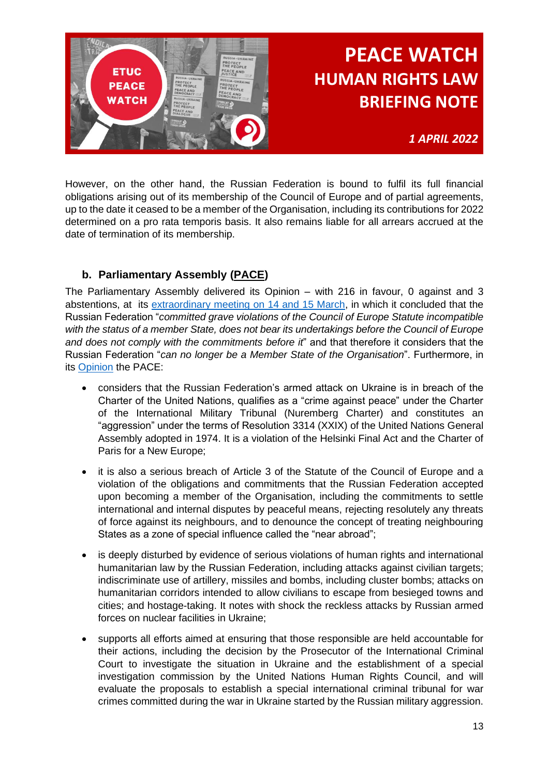

*1 APRIL 2022*

However, on the other hand, the Russian Federation is bound to fulfil its full financial obligations arising out of its membership of the Council of Europe and of partial agreements, up to the date it ceased to be a member of the Organisation, including its contributions for 2022 determined on a pro rata temporis basis. It also remains liable for all arrears accrued at the date of termination of its membership.

### **b. Parliamentary Assembly [\(PACE\)](https://pace.coe.int/en/)**

<span id="page-12-0"></span>The Parliamentary Assembly delivered its Opinion – with 216 in favour, 0 against and 3 abstentions, at its [extraordinary meeting on 14 and 15 March,](https://pace.coe.int/en/news/8638/the-russian-federation-can-no-longer-be-a-member-state-of-the-council-of-europe-pace-says) in which it concluded that the Russian Federation "*committed grave violations of the Council of Europe Statute incompatible with the status of a member State, does not bear its undertakings before the Council of Europe and does not comply with the commitments before it*" and that therefore it considers that the Russian Federation "*can no longer be a Member State of the Organisation*". Furthermore, in its [Opinion](https://pace.coe.int/en/files/29885/html) the PACE:

- considers that the Russian Federation's armed attack on Ukraine is in breach of the Charter of the United Nations, qualifies as a "crime against peace" under the Charter of the International Military Tribunal (Nuremberg Charter) and constitutes an "aggression" under the terms of Resolution 3314 (XXIX) of the United Nations General Assembly adopted in 1974. It is a violation of the Helsinki Final Act and the Charter of Paris for a New Europe;
- it is also a serious breach of Article 3 of the Statute of the Council of Europe and a violation of the obligations and commitments that the Russian Federation accepted upon becoming a member of the Organisation, including the commitments to settle international and internal disputes by peaceful means, rejecting resolutely any threats of force against its neighbours, and to denounce the concept of treating neighbouring States as a zone of special influence called the "near abroad";
- is deeply disturbed by evidence of serious violations of human rights and international humanitarian law by the Russian Federation, including attacks against civilian targets; indiscriminate use of artillery, missiles and bombs, including cluster bombs; attacks on humanitarian corridors intended to allow civilians to escape from besieged towns and cities; and hostage-taking. It notes with shock the reckless attacks by Russian armed forces on nuclear facilities in Ukraine;
- supports all efforts aimed at ensuring that those responsible are held accountable for their actions, including the decision by the Prosecutor of the International Criminal Court to investigate the situation in Ukraine and the establishment of a special investigation commission by the United Nations Human Rights Council, and will evaluate the proposals to establish a special international criminal tribunal for war crimes committed during the war in Ukraine started by the Russian military aggression.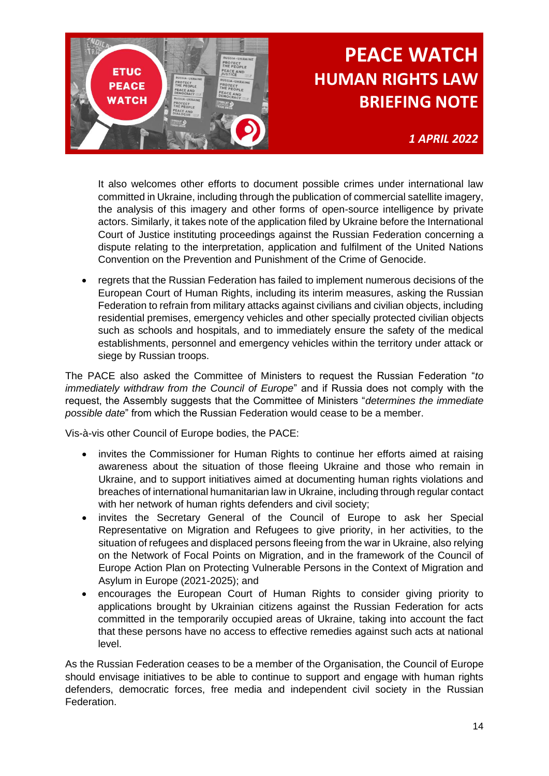

*1 APRIL 2022*

It also welcomes other efforts to document possible crimes under international law committed in Ukraine, including through the publication of commercial satellite imagery, the analysis of this imagery and other forms of open-source intelligence by private actors. Similarly, it takes note of the application filed by Ukraine before the International Court of Justice instituting proceedings against the Russian Federation concerning a dispute relating to the interpretation, application and fulfilment of the United Nations Convention on the Prevention and Punishment of the Crime of Genocide.

• regrets that the Russian Federation has failed to implement numerous decisions of the European Court of Human Rights, including its interim measures, asking the Russian Federation to refrain from military attacks against civilians and civilian objects, including residential premises, emergency vehicles and other specially protected civilian objects such as schools and hospitals, and to immediately ensure the safety of the medical establishments, personnel and emergency vehicles within the territory under attack or siege by Russian troops.

The PACE also asked the Committee of Ministers to request the Russian Federation "*to immediately withdraw from the Council of Europe*" and if Russia does not comply with the request, the Assembly suggests that the Committee of Ministers "*determines the immediate possible date*" from which the Russian Federation would cease to be a member.

Vis-à-vis other Council of Europe bodies, the PACE:

- invites the Commissioner for Human Rights to continue her efforts aimed at raising awareness about the situation of those fleeing Ukraine and those who remain in Ukraine, and to support initiatives aimed at documenting human rights violations and breaches of international humanitarian law in Ukraine, including through regular contact with her network of human rights defenders and civil society;
- invites the Secretary General of the Council of Europe to ask her Special Representative on Migration and Refugees to give priority, in her activities, to the situation of refugees and displaced persons fleeing from the war in Ukraine, also relying on the Network of Focal Points on Migration, and in the framework of the Council of Europe Action Plan on Protecting Vulnerable Persons in the Context of Migration and Asylum in Europe (2021-2025); and
- encourages the European Court of Human Rights to consider giving priority to applications brought by Ukrainian citizens against the Russian Federation for acts committed in the temporarily occupied areas of Ukraine, taking into account the fact that these persons have no access to effective remedies against such acts at national level.

As the Russian Federation ceases to be a member of the Organisation, the Council of Europe should envisage initiatives to be able to continue to support and engage with human rights defenders, democratic forces, free media and independent civil society in the Russian Federation.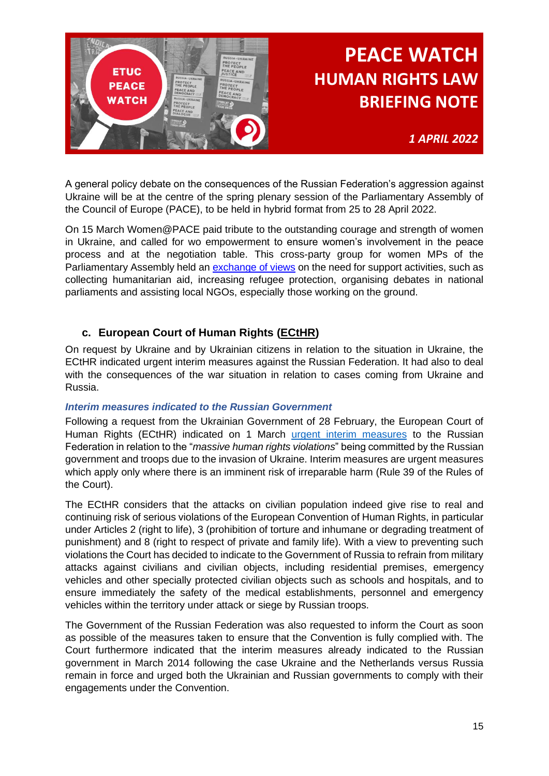

*1 APRIL 2022*

A general policy debate on the consequences of the Russian Federation's aggression against Ukraine will be at the centre of the spring plenary session of the Parliamentary Assembly of the Council of Europe (PACE), to be held in hybrid format from 25 to 28 April 2022.

On 15 March Women@PACE paid tribute to the outstanding courage and strength of women in Ukraine, and called for wo empowerment to ensure women's involvement in the peace process and at the negotiation table. This cross-party group for women MPs of the Parliamentary Assembly held an [exchange of views](https://pace.coe.int/en/news/8642/-women-pace-group-co-ordinated-support-for-women-in-ukraine) on the need for support activities, such as collecting humanitarian aid, increasing refugee protection, organising debates in national parliaments and assisting local NGOs, especially those working on the ground.

#### **c. European Court of Human Rights [\(ECtHR\)](https://www.echr.coe.int/Pages/home.aspx?p=home)**

<span id="page-14-0"></span>On request by Ukraine and by Ukrainian citizens in relation to the situation in Ukraine, the ECtHR indicated urgent interim measures against the Russian Federation. It had also to deal with the consequences of the war situation in relation to cases coming from Ukraine and Russia.

#### *Interim measures indicated to the Russian Government*

Following a request from the Ukrainian Government of 28 February, the European Court of Human Rights (ECtHR) indicated on 1 March [urgent interim measures](https://hudoc.echr.coe.int/app/conversion/pdf/?library=ECHR&id=003-7272764-9905947&filename=The%20Court%20grants%20urgent%20interim%20measures%20in%20application%20concerning%20Russian%20military%20operations%20on%20Ukrainian%20territory.pdf) to the Russian Federation in relation to the "*massive human rights violations*" being committed by the Russian government and troops due to the invasion of Ukraine. Interim measures are urgent measures which apply only where there is an imminent risk of irreparable harm (Rule 39 of the Rules of the Court).

The ECtHR considers that the attacks on civilian population indeed give rise to real and continuing risk of serious violations of the European Convention of Human Rights, in particular under Articles 2 (right to life), 3 (prohibition of torture and inhumane or degrading treatment of punishment) and 8 (right to respect of private and family life). With a view to preventing such violations the Court has decided to indicate to the Government of Russia to refrain from military attacks against civilians and civilian objects, including residential premises, emergency vehicles and other specially protected civilian objects such as schools and hospitals, and to ensure immediately the safety of the medical establishments, personnel and emergency vehicles within the territory under attack or siege by Russian troops.

The Government of the Russian Federation was also requested to inform the Court as soon as possible of the measures taken to ensure that the Convention is fully complied with. The Court furthermore indicated that the interim measures already indicated to the Russian government in March 2014 following the case Ukraine and the Netherlands versus Russia remain in force and urged both the Ukrainian and Russian governments to comply with their engagements under the Convention.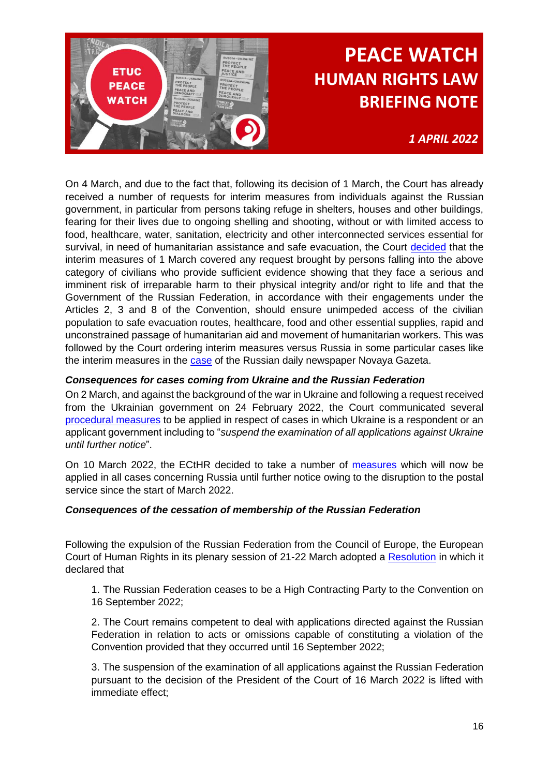

*1 APRIL 2022*

On 4 March, and due to the fact that, following its decision of 1 March, the Court has already received a number of requests for interim measures from individuals against the Russian government, in particular from persons taking refuge in shelters, houses and other buildings, fearing for their lives due to ongoing shelling and shooting, without or with limited access to food, healthcare, water, sanitation, electricity and other interconnected services essential for survival, in need of humanitarian assistance and safe evacuation, the Court [decided](https://hudoc.echr.coe.int/app/conversion/pdf/?library=ECHR&id=003-7277548-9913621&filename=Decision%20of%20the%20Court%20on%20requests%20for%20interim%20measures%20in%20individual%20applications%20concerning%20Russian%20military%20operations%20on%20Ukrainian%20territory.pdf) that the interim measures of 1 March covered any request brought by persons falling into the above category of civilians who provide sufficient evidence showing that they face a serious and imminent risk of irreparable harm to their physical integrity and/or right to life and that the Government of the Russian Federation, in accordance with their engagements under the Articles 2, 3 and 8 of the Convention, should ensure unimpeded access of the civilian population to safe evacuation routes, healthcare, food and other essential supplies, rapid and unconstrained passage of humanitarian aid and movement of humanitarian workers. This was followed by the Court ordering interim measures versus Russia in some particular cases like the interim measures in the [case](https://hudoc.echr.coe.int/app/conversion/pdf/?library=ECHR&id=003-7282927-9922567&filename=Urgent%20interim%20measure%20in%20the%20case%20of%20the%20Russian%20daily%20newspaper%20Novaya%20Gazeta.pdf) of the Russian daily newspaper Novaya Gazeta.

#### *Consequences for cases coming from Ukraine and the Russian Federation*

On 2 March, and against the background of the war in Ukraine and following a request received from the Ukrainian government on 24 February 2022, the Court communicated several [procedural measures](https://hudoc.echr.coe.int/app/conversion/pdf/?library=ECHR&id=003-7274040-9908360&filename=Measures%20taken%20by%20the%20European%20Court%20of%20Human%20Rights%20concerning%20the%20applications%20concerning%20Ukraine.pdf) to be applied in respect of cases in which Ukraine is a respondent or an applicant government including to "*suspend the examination of all applications against Ukraine until further notice*".

On 10 March 2022, the ECtHR decided to take a number of [measures](https://hudoc.echr.coe.int/app/conversion/pdf/?library=ECHR&id=003-7282553-9922068&filename=Measures%20applied%20in%20respect%20of%20all%20cases%20concerning%20Russia%20owing%20to%20disruption%20to%20the%20postal%20service.pdf) which will now be applied in all cases concerning Russia until further notice owing to the disruption to the postal service since the start of March 2022.

#### *Consequences of the cessation of membership of the Russian Federation*

Following the expulsion of the Russian Federation from the Council of Europe, the European Court of Human Rights in its plenary session of 21-22 March adopted a [Resolution](https://echr.coe.int/Documents/Resolution_ECHR_cessation_membership_Russia_CoE_ENG.pdf) in which it declared that

1. The Russian Federation ceases to be a High Contracting Party to the Convention on 16 September 2022;

2. The Court remains competent to deal with applications directed against the Russian Federation in relation to acts or omissions capable of constituting a violation of the Convention provided that they occurred until 16 September 2022;

3. The suspension of the examination of all applications against the Russian Federation pursuant to the decision of the President of the Court of 16 March 2022 is lifted with immediate effect;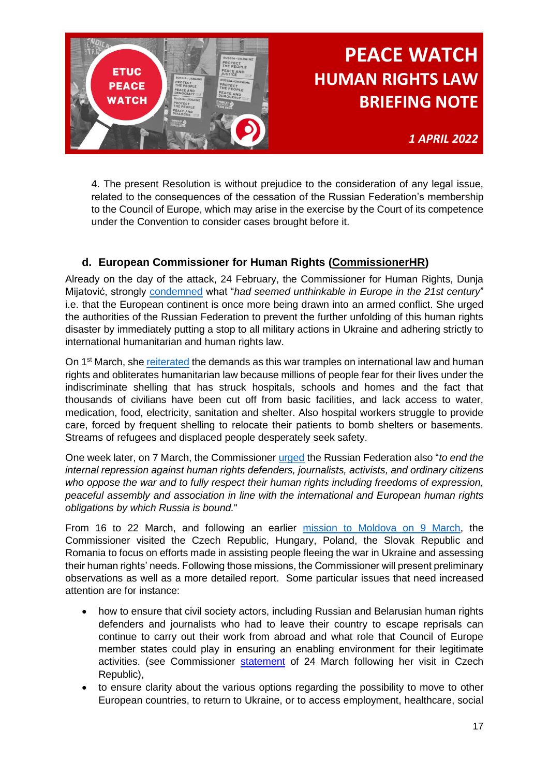

*1 APRIL 2022*

4. The present Resolution is without prejudice to the consideration of any legal issue, related to the consequences of the cessation of the Russian Federation's membership to the Council of Europe, which may arise in the exercise by the Court of its competence under the Convention to consider cases brought before it.

### **d. European Commissioner for Human Rights [\(CommissionerHR\)](https://www.coe.int/en/web/commissioner)**

<span id="page-16-0"></span>Already on the day of the attack, 24 February, the Commissioner for Human Rights, Dunja Mijatović, strongly [condemned](https://www.coe.int/en/web/commissioner/-/commissioner-for-human-rights-statement-on-the-situation-in-ukraine) what "*had seemed unthinkable in Europe in the 21st century*" i.e. that the European continent is once more being drawn into an armed conflict. She urged the authorities of the Russian Federation to prevent the further unfolding of this human rights disaster by immediately putting a stop to all military actions in Ukraine and adhering strictly to international humanitarian and human rights law.

On 1<sup>st</sup> March, she [reiterated](https://www.coe.int/en/web/commissioner/-/the-killing-and-suffering-of-people-in-ukraine-has-to-stop-now) the demands as this war tramples on international law and human rights and obliterates humanitarian law because millions of people fear for their lives under the indiscriminate shelling that has struck hospitals, schools and homes and the fact that thousands of civilians have been cut off from basic facilities, and lack access to water, medication, food, electricity, sanitation and shelter. Also hospital workers struggle to provide care, forced by frequent shelling to relocate their patients to bomb shelters or basements. Streams of refugees and displaced people desperately seek safety.

One week later, on 7 March, the Commissioner [urged](https://www.coe.int/en/web/portal/-/authorities-should-stop-the-unprecedented-crackdown-on-freedoms-of-expression-assembly-and-association-in-russia) the Russian Federation also "*to end the internal repression against human rights defenders, journalists, activists, and ordinary citizens who oppose the war and to fully respect their human rights including freedoms of expression, peaceful assembly and association in line with the international and European human rights obligations by which Russia is bound.*"

From 16 to 22 March, and following an earlier [mission to Moldova on 9 March,](https://www.coe.int/en/web/commissioner/-/more-support-urgently-needed-to-assist-people-fleeing-the-war-in-ukraine-and-countries-of-arrival-in-particular-the-republic-of-moldova) the Commissioner visited the Czech Republic, Hungary, Poland, the Slovak Republic and Romania to focus on efforts made in assisting people fleeing the war in Ukraine and assessing their human rights' needs. Following those missions, the Commissioner will present preliminary observations as well as a more detailed report. Some particular issues that need increased attention are for instance:

- how to ensure that civil society actors, including Russian and Belarusian human rights defenders and journalists who had to leave their country to escape reprisals can continue to carry out their work from abroad and what role that Council of Europe member states could play in ensuring an enabling environment for their legitimate activities. (see Commissioner [statement](https://www.coe.int/en/web/commissioner/-/russian-civil-society-needs-support-of-council-of-europe-member-states) of 24 March following her visit in Czech Republic),
- to ensure clarity about the various options regarding the possibility to move to other European countries, to return to Ukraine, or to access employment, healthcare, social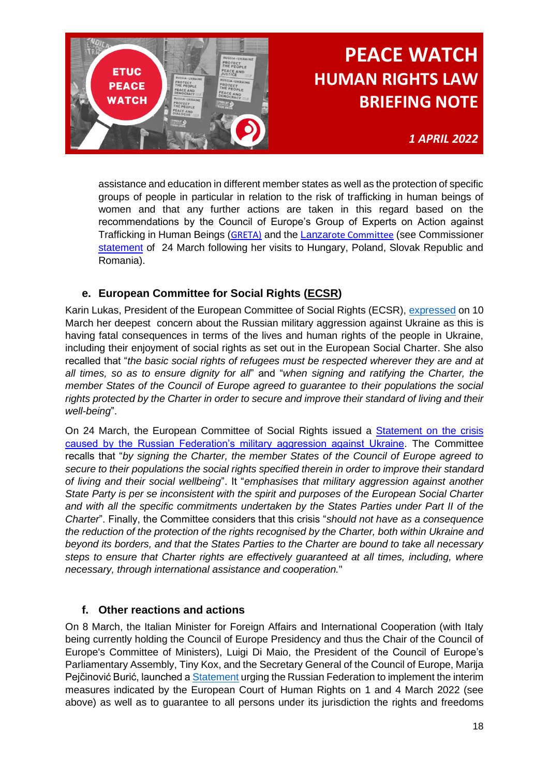

*1 APRIL 2022*

assistance and education in different member states as well as the protection of specific groups of people in particular in relation to the risk of trafficking in human beings of women and that any further actions are taken in this regard based on the recommendations by the Council of Europe's Group of Experts on Action against Trafficking in Human Beings ([GRETA\)](https://www.coe.int/en/web/anti-human-trafficking/-/greta-statement-states-must-urgently-protect-refugees-fleeing-ukraine) and the [Lanzar](https://www.coe.int/en/web/children/-/lanzarote-committee-calls-for-urgent-need-to-ensure-safe-passages-and-measures-to-address-the-risk-of-exposure-to-sexual-abuse-for-the-ukrainian-child)[ote Committee](https://www.coe.int/en/web/children/-/lanzarote-committee-calls-for-urgent-need-to-ensure-safe-passages-and-measures-to-address-the-risk-of-exposure-to-sexual-abuse-for-the-ukrainian-child) (see Commissioner [statement](https://www.coe.int/en/web/commissioner/-/commissioner-urges-more-coordinated-efforts-by-all-member-states-to-meet-the-humanitarian-needs-and-protect-the-human-rights-of-people-fleeing-the-war) of 24 March following her visits to Hungary, Poland, Slovak Republic and Romania).

### **e. European Committee for Social Rights [\(ECSR\)](https://www.coe.int/en/web/european-social-charter/european-committee-of-social-rights)**

<span id="page-17-0"></span>Karin Lukas, President of the European Committee of Social Rights (ECSR), [expressed](https://www.coe.int/en/web/european-social-charter/-/statement-of-the-european-committee-of-social-rights-president-on-the-situation-in-ukraine) on 10 March her deepest concern about the Russian military aggression against Ukraine as this is having fatal consequences in terms of the lives and human rights of the people in Ukraine, including their enjoyment of social rights as set out in the European Social Charter. She also recalled that "*the basic social rights of refugees must be respected wherever they are and at all times, so as to ensure dignity for all*" and "*when signing and ratifying the Charter, the member States of the Council of Europe agreed to guarantee to their populations the social rights protected by the Charter in order to secure and improve their standard of living and their well-being*".

On 24 March, the European Committee of Social Rights issued a [Statement on the crisis](https://www.coe.int/en/web/european-social-charter/-/statement-by-the-european-committee-of-social-rights)  [caused by the Russian Federation's military aggression against Ukraine.](https://www.coe.int/en/web/european-social-charter/-/statement-by-the-european-committee-of-social-rights) The Committee recalls that "*by signing the Charter, the member States of the Council of Europe agreed to secure to their populations the social rights specified therein in order to improve their standard of living and their social wellbeing*". It "*emphasises that military aggression against another State Party is per se inconsistent with the spirit and purposes of the European Social Charter and with all the specific commitments undertaken by the States Parties under Part II of the Charter*". Finally, the Committee considers that this crisis "*should not have as a consequence the reduction of the protection of the rights recognised by the Charter, both within Ukraine and beyond its borders, and that the States Parties to the Charter are bound to take all necessary steps to ensure that Charter rights are effectively guaranteed at all times, including, where necessary, through international assistance and cooperation.*"

### <span id="page-17-1"></span>**f. Other reactions and actions**

On 8 March, the Italian Minister for Foreign Affairs and International Cooperation (with Italy being currently holding the Council of Europe Presidency and thus the Chair of the Council of Europe's Committee of Ministers), Luigi Di Maio, the President of the Council of Europe's Parliamentary Assembly, Tiny Kox, and the Secretary General of the Council of Europe, Marija Pejčinović Burić, launched a [Statement](https://www.coe.int/en/web/portal/-/council-of-europe-leaders-make-joint-statement-on-the-aggression-of-the-russian-federation-against-ukraine) urging the Russian Federation to implement the interim measures indicated by the European Court of Human Rights on 1 and 4 March 2022 (see above) as well as to guarantee to all persons under its jurisdiction the rights and freedoms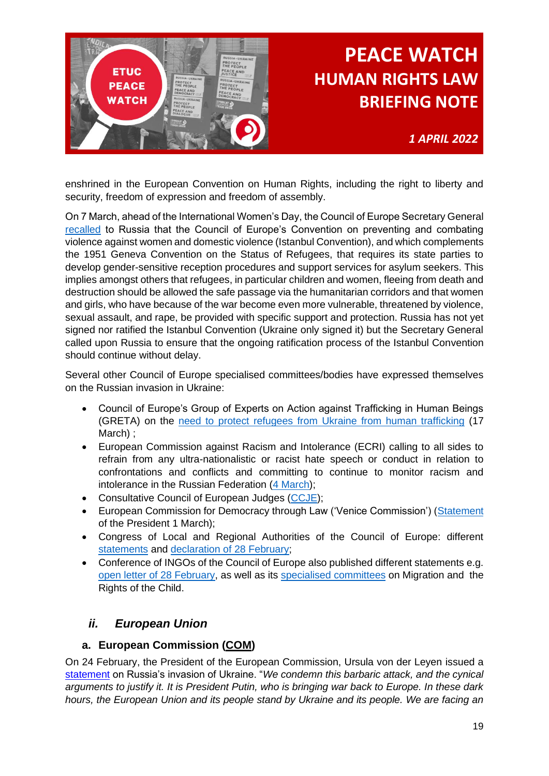

*1 APRIL 2022*

enshrined in the European Convention on Human Rights, including the right to liberty and security, freedom of expression and freedom of assembly.

On 7 March, ahead of the International Women's Day, the Council of Europe Secretary General [recalled](https://www.coe.int/en/web/portal/-/war-in-ukraine-protecting-women-and-girls) to Russia that the Council of Europe's Convention on preventing and combating violence against women and domestic violence (Istanbul Convention), and which complements the 1951 Geneva Convention on the Status of Refugees, that requires its state parties to develop gender-sensitive reception procedures and support services for asylum seekers. This implies amongst others that refugees, in particular children and women, fleeing from death and destruction should be allowed the safe passage via the humanitarian corridors and that women and girls, who have because of the war become even more vulnerable, threatened by violence, sexual assault, and rape, be provided with specific support and protection. Russia has not yet signed nor ratified the Istanbul Convention (Ukraine only signed it) but the Secretary General called upon Russia to ensure that the ongoing ratification process of the Istanbul Convention should continue without delay.

Several other Council of Europe specialised committees/bodies have expressed themselves on the Russian invasion in Ukraine:

- Council of Europe's Group of Experts on Action against Trafficking in Human Beings (GRETA) on the [need to protect refugees from Ukraine from human trafficking](https://www.coe.int/en/web/anti-human-trafficking/news/-/asset_publisher/fX6ZWufj34JY/content/greta-statement-states-must-urgently-protect-refugees-fleeing-ukraine?inheritRedirect=false&redirect=https%3A%2F%2Fwww.coe.int%2Fen%2Fweb%2Fanti-human-trafficking%2Fnews%3Fp_p_id%3D101_INSTANCE_fX6ZWufj34JY%26p_p_lifecycle%3D0%26p_p_state%3Dnormal%26p_p_mode%3Dview%26p_p_col_id%3Dcolumn-4%26p_p_col_count%3D1) (17 March) ;
- European Commission against Racism and Intolerance (ECRI) calling to all sides to refrain from any ultra-nationalistic or racist hate speech or conduct in relation to confrontations and conflicts and committing to continue to monitor racism and intolerance in the Russian Federation [\(4 March\)](https://www.coe.int/en/web/european-commission-against-racism-and-intolerance/-/ukraine-ecri-s-chair-praises-the-exceptional-efforts-of-other-countries-to-welcome-people-fleeing-from-the-conflict-and-warns-all-sides-against-the-1);
- Consultative Council of European Judges [\(CCJE\)](https://www.coe.int/en/web/ccje/-/statement-of-the-president-of-the-consultative-council-of-european-judges-on-the-situation-in-ukrai-1);
- European Commission for Democracy through Law ('Venice Commission') [\(Statement](https://www.venice.coe.int/webforms/events/?id=3303) of the President 1 March);
- Congress of Local and Regional Authorities of the Council of Europe: different [statements](https://www.coe.int/en/web/congress/situation-in-ukraine) and [declaration of 28 February;](https://rm.coe.int/declaration-pdf-eng/1680a5ab66)
- Conference of INGOs of the Council of Europe also published different statements e.g. [open letter of 28 February,](https://www.coe.int/en/web/ingo/newsroom/-/asset_publisher/BR9aikJBXnwX/content/open-letter-from-the-president-of-the-conference-of-ingos-on-the-war-in-ukraine?inheritRedirect=false&redirect=https%3A%2F%2Fwww.coe.int%2Fen%2Fweb%2Fingo%2Fnewsroom%3Fp_p_id%3D101_INSTANCE_BR9aikJBXnwX%26p_p_lifecycle%3D0%26p_p_state%3Dnormal%26p_p_mode%3Dview%26p_p_col_id%3Dcolumn-4%26p_p_col_count%3D1) as well as its [specialised committees](https://www.coe.int/en/web/ingo/newsroom/-/asset_publisher/BR9aikJBXnwX/content/conferene-of-ingos-stand-with-ukraine?inheritRedirect=false&redirect=https%3A%2F%2Fwww.coe.int%2Fen%2Fweb%2Fingo%2Fnewsroom%3Fp_p_id%3D101_INSTANCE_BR9aikJBXnwX%26p_p_lifecycle%3D0%26p_p_state%3Dnormal%26p_p_mode%3Dview%26p_p_col_id%3Dcolumn-4%26p_p_col_count%3D1) on Migration and the Rights of the Child.

### <span id="page-18-0"></span>*ii. European Union*

#### <span id="page-18-1"></span>**a. European Commission [\(COM\)](https://ec.europa.eu/info/index_en)**

On 24 February, the President of the European Commission, Ursula von der Leyen issued a [statement](https://ec.europa.eu/commission/presscorner/detail/en/statement_22_1322) on Russia's invasion of Ukraine. "*We condemn this barbaric attack, and the cynical arguments to justify it. It is President Putin, who is bringing war back to Europe. In these dark hours, the European Union and its people stand by Ukraine and its people. We are facing an*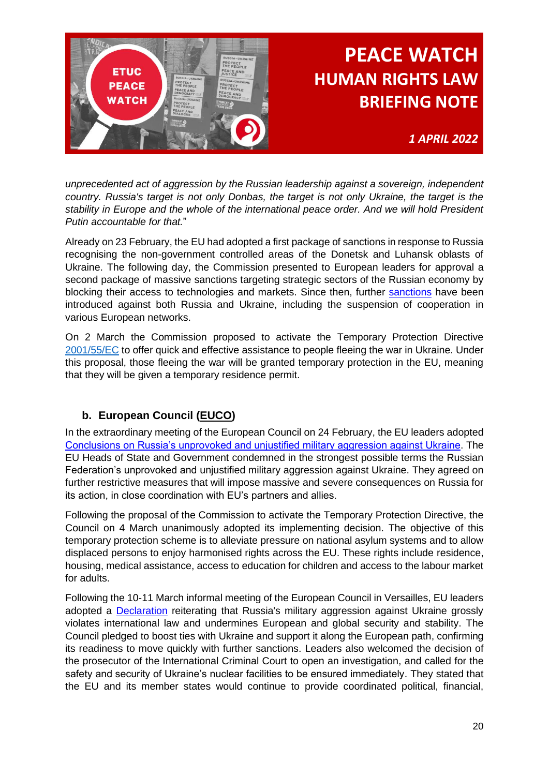

*unprecedented act of aggression by the Russian leadership against a sovereign, independent country. Russia's target is not only Donbas, the target is not only Ukraine, the target is the stability in Europe and the whole of the international peace order. And we will hold President Putin accountable for that.*"

Already on 23 February, the EU had adopted a first package of sanctions in response to Russia recognising the non-government controlled areas of the Donetsk and Luhansk oblasts of Ukraine. The following day, the Commission presented to European leaders for approval a second package of massive sanctions targeting strategic sectors of the Russian economy by blocking their access to technologies and markets. Since then, further [sanctions](https://ec.europa.eu/info/strategy/priorities-2019-2024/stronger-europe-world/eu-solidarity-ukraine_en#timeline) have been introduced against both Russia and Ukraine, including the suspension of cooperation in various European networks.

On 2 March the Commission proposed to activate the Temporary Protection Directive [2001/55/EC](https://eur-lex.europa.eu/legal-content/EN/TXT/?uri=celex:32001L0055) to offer quick and effective assistance to people fleeing the war in Ukraine. Under this proposal, those fleeing the war will be granted temporary protection in the EU, meaning that they will be given a temporary residence permit.

### **b. European Council [\(EUCO\)](https://www.consilium.europa.eu/en/european-council/)**

<span id="page-19-0"></span>In the extraordinary meeting of the European Council on 24 February, the EU leaders adopted [Conclusions on Russia's unprovoked and unjustified military aggression against Ukraine.](https://www.consilium.europa.eu/en/press/press-releases/2022/02/24/european-council-conclusions-24-february-2022/) The EU Heads of State and Government condemned in the strongest possible terms the Russian Federation's unprovoked and unjustified military aggression against Ukraine. They agreed on further restrictive measures that will impose massive and severe consequences on Russia for its action, in close coordination with EU's partners and allies.

Following the proposal of the Commission to activate the Temporary Protection Directive, the Council on 4 March unanimously adopted its implementing decision. The objective of this temporary protection scheme is to alleviate pressure on national asylum systems and to allow displaced persons to enjoy harmonised rights across the EU. These rights include residence, housing, medical assistance, access to education for children and access to the labour market for adults.

Following the 10-11 March informal meeting of the European Council in Versailles, EU leaders adopted a [Declaration](https://www.consilium.europa.eu/media/54773/20220311-versailles-declaration-en.pdf) reiterating that Russia's military aggression against Ukraine grossly violates international law and undermines European and global security and stability. The Council pledged to boost ties with Ukraine and support it along the European path, confirming its readiness to move quickly with further sanctions. Leaders also welcomed the decision of the prosecutor of the International Criminal Court to open an investigation, and called for the safety and security of Ukraine's nuclear facilities to be ensured immediately. They stated that the EU and its member states would continue to provide coordinated political, financial,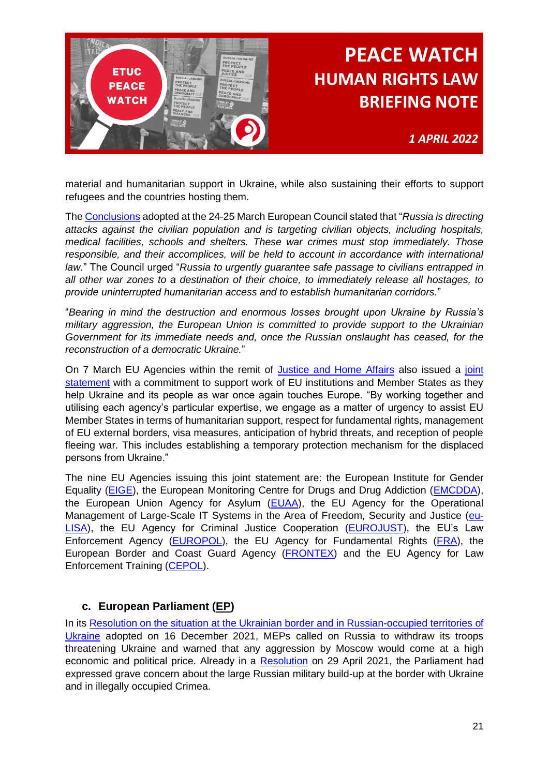

*1 APRIL 2022*

material and humanitarian support in Ukraine, while also sustaining their efforts to support refugees and the countries hosting them.

The [Conclusions](https://data.consilium.europa.eu/doc/document/ST-1-2022-INIT/en/pdf) adopted at the 24-25 March European Council stated that "*Russia is directing attacks against the civilian population and is targeting civilian objects, including hospitals, medical facilities, schools and shelters. These war crimes must stop immediately. Those responsible, and their accomplices, will be held to account in accordance with international law.*" The Council urged "*Russia to urgently guarantee safe passage to civilians entrapped in all other war zones to a destination of their choice, to immediately release all hostages, to provide uninterrupted humanitarian access and to establish humanitarian corridors.*"

"*Bearing in mind the destruction and enormous losses brought upon Ukraine by Russia's military aggression, the European Union is committed to provide support to the Ukrainian Government for its immediate needs and, once the Russian onslaught has ceased, for the reconstruction of a democratic Ukraine.*"

On 7 March EU Agencies within the remit of [Justice and Home Affairs](https://www.consilium.europa.eu/en/meetings/jha/2022/03/03-04/?utm_source=dsms-auto&utm_medium=email&utm_campaign=Justice+and+Home+Affairs+Council) also issued a [joint](https://www.europol.europa.eu/media-press/newsroom/news/eu-justice-and-home-affairs-agencies-joint-statement-ukraine)  [statement](https://www.europol.europa.eu/media-press/newsroom/news/eu-justice-and-home-affairs-agencies-joint-statement-ukraine) with a commitment to support work of EU institutions and Member States as they help Ukraine and its people as war once again touches Europe. "By working together and utilising each agency's particular expertise, we engage as a matter of urgency to assist EU Member States in terms of humanitarian support, respect for fundamental rights, management of EU external borders, visa measures, anticipation of hybrid threats, and reception of people fleeing war. This includes establishing a temporary protection mechanism for the displaced persons from Ukraine."

The nine EU Agencies issuing this joint statement are: the European Institute for Gender Equality [\(EIGE\)](https://eige.europa.eu/), the European Monitoring Centre for Drugs and Drug Addiction [\(EMCDDA\)](https://www.emcdda.europa.eu/emcdda-home-page_en), the European Union Agency for Asylum [\(EUAA\)](https://euaa.europa.eu/), the EU Agency for the Operational Management of Large-Scale IT Systems in the Area of Freedom, Security and Justice [\(eu-](https://www.eulisa.europa.eu/)[LISA\)](https://www.eulisa.europa.eu/), the EU Agency for Criminal Justice Cooperation [\(EUROJUST\)](https://www.eurojust.europa.eu/), the EU's Law Enforcement Agency [\(EUROPOL\)](https://www.europol.europa.eu/), the EU Agency for Fundamental Rights [\(FRA\)](https://fra.europa.eu/en/about-fra), the European Border and Coast Guard Agency [\(FRONTEX\)](https://frontex.europa.eu/) and the EU Agency for Law Enforcement Training [\(CEPOL\)](https://www.cepol.europa.eu/who-we-are/partners-and-stakeholders/national-training-institutions/jha-agencies-network).

#### **c. European Parliament [\(EP\)](https://www.europarl.europa.eu/portal/en)**

<span id="page-20-0"></span>In its [Resolution on the situation at the Ukrainian border and in Russian-occupied territories of](https://www.europarl.europa.eu/doceo/document/TA-9-2021-0515_EN.html)  [Ukraine](https://www.europarl.europa.eu/doceo/document/TA-9-2021-0515_EN.html) adopted on 16 December 2021, MEPs called on Russia to withdraw its troops threatening Ukraine and warned that any aggression by Moscow would come at a high economic and political price. Already in a [Resolution](https://www.europarl.europa.eu/doceo/document/TA-9-2021-0159_EN.html) on 29 April 2021, the Parliament had expressed grave concern about the large Russian military build-up at the border with Ukraine and in illegally occupied Crimea.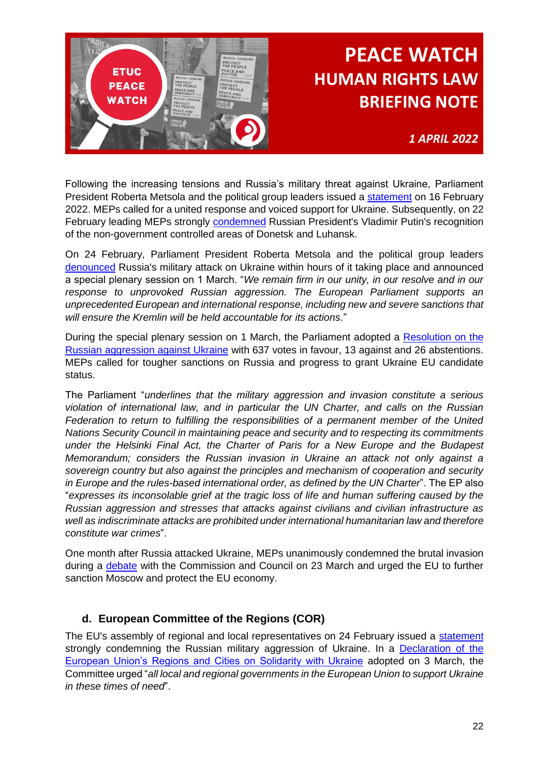

*1 APRIL 2022*

Following the increasing tensions and Russia's military threat against Ukraine, Parliament President Roberta Metsola and the political group leaders issued a [statement](https://www.europarl.europa.eu/news/en/press-room/20220216IPR23409/statement-on-ukraine-by-european-parliament-s-leaders) on 16 February 2022. MEPs called for a united response and voiced support for Ukraine. Subsequently, on 22 February leading MEPs strongly [condemned](https://www.europarl.europa.eu/news/en/press-room/20220222IPR23806/the-decision-of-russia-s-president-is-a-serious-violation-of-international-law) Russian President's Vladimir Putin's recognition of the non-government controlled areas of Donetsk and Luhansk.

On 24 February, Parliament President Roberta Metsola and the political group leaders [denounced](https://www.europarl.europa.eu/news/en/press-room/20220224IPR24001/statement-on-ukraine-by-european-parliament-s-leaders) Russia's military attack on Ukraine within hours of it taking place and announced a special plenary session on 1 March. "*We remain firm in our unity, in our resolve and in our response to unprovoked Russian aggression. The European Parliament supports an unprecedented European and international response, including new and severe sanctions that will ensure the Kremlin will be held accountable for its actions*."

During the special plenary session on 1 March, the Parliament adopted a [Resolution on the](https://www.europarl.europa.eu/doceo/document/TA-9-2022-0052_EN.html)  [Russian aggression against Ukraine](https://www.europarl.europa.eu/doceo/document/TA-9-2022-0052_EN.html) with 637 votes in favour, 13 against and 26 abstentions. MEPs called for tougher sanctions on Russia and progress to grant Ukraine EU candidate status.

The Parliament "*underlines that the military aggression and invasion constitute a serious violation of international law, and in particular the UN Charter, and calls on the Russian Federation to return to fulfilling the responsibilities of a permanent member of the United Nations Security Council in maintaining peace and security and to respecting its commitments under the Helsinki Final Act, the Charter of Paris for a New Europe and the Budapest Memorandum; considers the Russian invasion in Ukraine an attack not only against a sovereign country but also against the principles and mechanism of cooperation and security in Europe and the rules-based international order, as defined by the UN Charter*". The EP also "*expresses its inconsolable grief at the tragic loss of life and human suffering caused by the Russian aggression and stresses that attacks against civilians and civilian infrastructure as well as indiscriminate attacks are prohibited under international humanitarian law and therefore constitute war crimes*".

One month after Russia attacked Ukraine, MEPs unanimously condemned the brutal invasion during a [debate](https://www.europarl.europa.eu/news/en/press-room/20220321IPR25912/war-in-ukraine-keep-the-pressure-up-on-russia-and-aim-for-energy-independence) with the Commission and Council on 23 March and urged the EU to further sanction Moscow and protect the EU economy.

### **d. European Committee of the Regions (COR)**

<span id="page-21-0"></span>The EU's assembly of regional and local representatives on 24 February issued a [statement](https://cor.europa.eu/en/news/Pages/statement-russia-invasion-ukraine.aspx) strongly condemning the Russian military aggression of Ukraine. In a Declaration of the [European Union's Regions and Cities on Solidarity with Ukraine](https://cor.europa.eu/en/engage/brochures/Documents/Declaration%20of%20the%20European%20Union%27s%20Regions%20and%20Cities%20on%20solidarity%20with%20Ukraine/4560%20Ukraine%20Declaration%20CovA4%20EN.pdf?_cldee=ZmFicml6aW8uY29saW1iZXJ0aUBjb3IuZXVyb3BhLmV1&recipientid=contact-0d36a4f535cee9118116005056a043ea-2499cac308454004afe91f8cd34302f7&esid=599ab92a-459a-ec11-811d-005056a043ea) adopted on 3 March, the Committee urged "*all local and regional governments in the European Union to support Ukraine in these times of need*".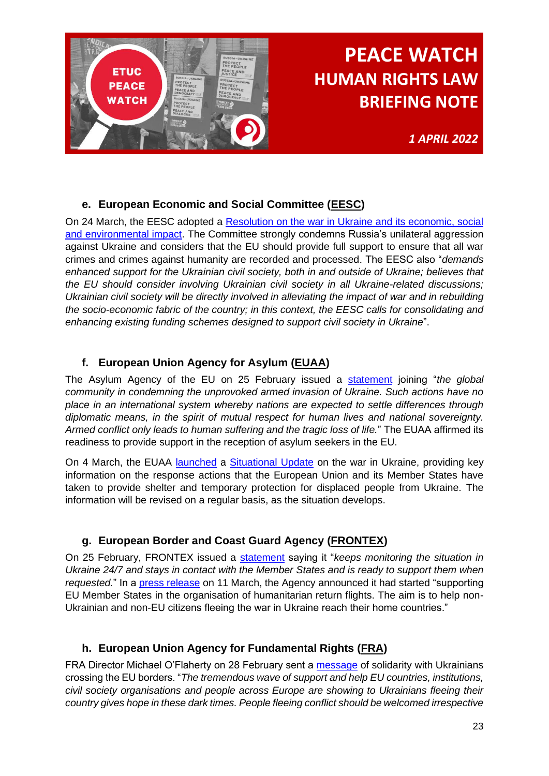

*1 APRIL 2022*

### **e. European Economic and Social Committee [\(EESC\)](https://www.eesc.europa.eu/en)**

<span id="page-22-0"></span>On 24 March, the EESC adopted a [Resolution on the war in Ukraine and its economic, social](https://www.eesc.europa.eu/documents/resolution/war-ukraine-and-its-economic-social-and-environmental-impact)  [and environmental impact.](https://www.eesc.europa.eu/documents/resolution/war-ukraine-and-its-economic-social-and-environmental-impact) The Committee strongly condemns Russia's unilateral aggression against Ukraine and considers that the EU should provide full support to ensure that all war crimes and crimes against humanity are recorded and processed. The EESC also "*demands enhanced support for the Ukrainian civil society, both in and outside of Ukraine; believes that the EU should consider involving Ukrainian civil society in all Ukraine-related discussions; Ukrainian civil society will be directly involved in alleviating the impact of war and in rebuilding the socio-economic fabric of the country; in this context, the EESC calls for consolidating and enhancing existing funding schemes designed to support civil society in Ukraine*".

### **f. European Union Agency for Asylum [\(EUAA\)](https://www.euaa.europa.eu/)**

<span id="page-22-1"></span>The Asylum Agency of the EU on 25 February issued a [statement](https://www.euaa.europa.eu/news-events/euaa-condemns-russian-invasion-ukraine-ready-support-reception-asylum-seekers) joining "*the global community in condemning the unprovoked armed invasion of Ukraine. Such actions have no place in an international system whereby nations are expected to settle differences through diplomatic means, in the spirit of mutual respect for human lives and national sovereignty. Armed conflict only leads to human suffering and the tragic loss of life.*" The EUAA affirmed its readiness to provide support in the reception of asylum seekers in the EU.

On 4 March, the EUAA [launched](https://www.euaa.europa.eu/news-events/euaa-provides-situational-update-eu-rapid-response-efforts-assist-displaced-ukrainian) a [Situational Update](https://euaa.europa.eu/publications/rapid-response-eu-countries-address-needs-displaced-people-ukraine) on the war in Ukraine, providing key information on the response actions that the European Union and its Member States have taken to provide shelter and temporary protection for displaced people from Ukraine. The information will be revised on a regular basis, as the situation develops.

### **g. European Border and Coast Guard Agency [\(FRONTEX\)](https://frontex.europa.eu/)**

<span id="page-22-2"></span>On 25 February, FRONTEX issued a [statement](https://frontex.europa.eu/media-centre/news/news-release/frontex-ready-to-support-member-states-in-light-of-situation-in-ukraine-kZGGwq) saying it "*keeps monitoring the situation in Ukraine 24/7 and stays in contact with the Member States and is ready to support them when requested.*" In a [press release](https://frontex.europa.eu/media-centre/news/news-release/first-humanitarian-return-flights-by-frontex-r3mnqc) on 11 March, the Agency announced it had started "supporting EU Member States in the organisation of humanitarian return flights. The aim is to help non-Ukrainian and non-EU citizens fleeing the war in Ukraine reach their home countries."

### **h. European Union Agency for Fundamental Rights [\(FRA\)](https://fra.europa.eu/en)**

<span id="page-22-3"></span>FRA Director Michael O'Flaherty on 28 February sent a **message** of solidarity with Ukrainians crossing the EU borders. "*The tremendous wave of support and help EU countries, institutions, civil society organisations and people across Europe are showing to Ukrainians fleeing their country gives hope in these dark times. People fleeing conflict should be welcomed irrespective*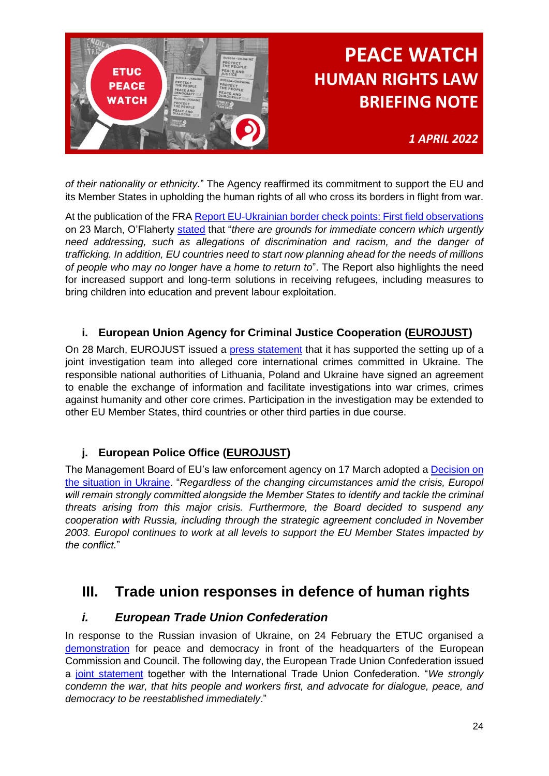

*1 APRIL 2022*

*of their nationality or ethnicity.*" The Agency reaffirmed its commitment to support the EU and its Member States in upholding the human rights of all who cross its borders in flight from war.

At the publication of the FRA [Report EU-Ukrainian border check points: First field observations](https://fra.europa.eu/en/publication/2022/eu-ukrainian-border-check-points-first-field-observations) on 23 March, O'Flaherty [stated](https://fra.europa.eu/en/news/2022/what-are-key-fundamental-rights-risks-eu-ukraine-borders) that "*there are grounds for immediate concern which urgently need addressing, such as allegations of discrimination and racism, and the danger of trafficking. In addition, EU countries need to start now planning ahead for the needs of millions of people who may no longer have a home to return to*". The Report also highlights the need for increased support and long-term solutions in receiving refugees, including measures to bring children into education and prevent labour exploitation.

### **i. European Union Agency for Criminal Justice Cooperation [\(EUROJUST\)](https://www.eurojust.europa.eu/)**

<span id="page-23-0"></span>On 28 March, EUROJUST issued a [press statement](https://www.eurojust.europa.eu/news/eurojust-supports-joint-investigation-team-alleged-core-international-crimes-ukraine) that it has supported the setting up of a joint investigation team into alleged core international crimes committed in Ukraine. The responsible national authorities of Lithuania, Poland and Ukraine have signed an agreement to enable the exchange of information and facilitate investigations into war crimes, crimes against humanity and other core crimes. Participation in the investigation may be extended to other EU Member States, third countries or other third parties in due course.

### **j. European Police Office [\(EUROJUST\)](https://www.eurojust.europa.eu/)**

<span id="page-23-1"></span>The Management Board of EU's law enforcement agency on 17 March adopted a [Decision on](https://www.europol.europa.eu/media-press/newsroom/news/decision-of-europols-management-board-situation-in-ukraine)  [the situation in Ukraine.](https://www.europol.europa.eu/media-press/newsroom/news/decision-of-europols-management-board-situation-in-ukraine) "*Regardless of the changing circumstances amid the crisis, Europol will remain strongly committed alongside the Member States to identify and tackle the criminal threats arising from this major crisis. Furthermore, the Board decided to suspend any cooperation with Russia, including through the strategic agreement concluded in November 2003. Europol continues to work at all levels to support the EU Member States impacted by the conflict.*"

### <span id="page-23-2"></span>**III. Trade union responses in defence of human rights**

### <span id="page-23-3"></span>*i. European Trade Union Confederation*

In response to the Russian invasion of Ukraine, on 24 February the ETUC organised a [demonstration](https://www.etuc.org/en/speech/etuc-demonstation-peace-and-dialogue-speech-luca-visentini-etuc-general-secretary) for peace and democracy in front of the headquarters of the European Commission and Council. The following day, the European Trade Union Confederation issued a [joint statement](https://www.etuc.org/en/pressrelease/ukraine-putins-war-must-stop) together with the International Trade Union Confederation. "*We strongly condemn the war, that hits people and workers first, and advocate for dialogue, peace, and democracy to be reestablished immediately*."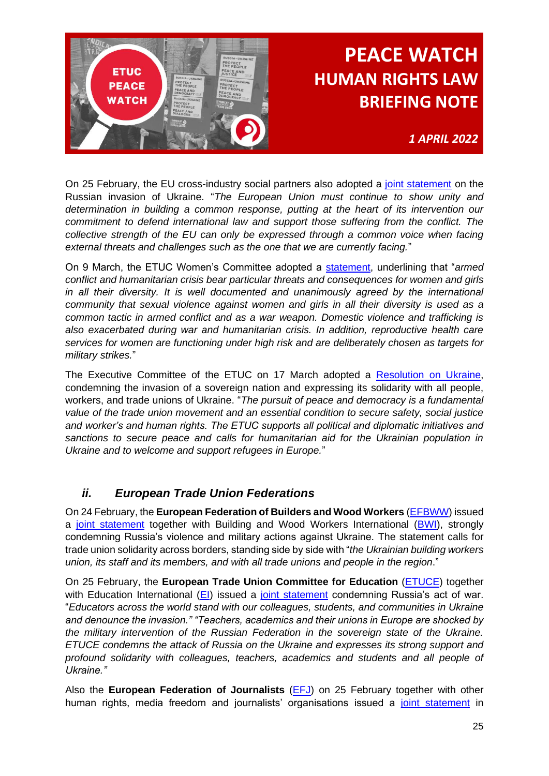

*1 APRIL 2022*

On 25 February, the EU cross-industry social partners also adopted a [joint statement](https://www.etuc.org/en/document/statement-eu-cross-industry-social-partners-russian-invasion-ukraine) on the Russian invasion of Ukraine. "*The European Union must continue to show unity and determination in building a common response, putting at the heart of its intervention our commitment to defend international law and support those suffering from the conflict. The collective strength of the EU can only be expressed through a common voice when facing external threats and challenges such as the one that we are currently facing.*"

On 9 March, the ETUC Women's Committee adopted a [statement,](https://www.etuc.org/en/document/statement-etuc-womens-committee-russias-invasion-ukraine) underlining that "*armed conflict and humanitarian crisis bear particular threats and consequences for women and girls in all their diversity. It is well documented and unanimously agreed by the international community that sexual violence against women and girls in all their diversity is used as a common tactic in armed conflict and as a war weapon. Domestic violence and trafficking is also exacerbated during war and humanitarian crisis. In addition, reproductive health care services for women are functioning under high risk and are deliberately chosen as targets for military strikes.*"

The Executive Committee of the ETUC on 17 March adopted a [Resolution on Ukraine,](https://www.etuc.org/en/document/etuc-resolution-ukraine) condemning the invasion of a sovereign nation and expressing its solidarity with all people, workers, and trade unions of Ukraine. "*The pursuit of peace and democracy is a fundamental value of the trade union movement and an essential condition to secure safety, social justice and worker's and human rights. The ETUC supports all political and diplomatic initiatives and sanctions to secure peace and calls for humanitarian aid for the Ukrainian population in Ukraine and to welcome and support refugees in Europe.*"

### <span id="page-24-0"></span>*ii. European Trade Union Federations*

On 24 February, the **European Federation of Builders and Wood Workers** [\(EFBWW\)](https://www.efbww.eu/) issued a [joint statement](https://www.efbww.eu/stream/fb198505-a6c9-477a-b444-bb6fce49bfed) together with Building and Wood Workers International [\(BWI\)](https://www.bwint.org/), strongly condemning Russia's violence and military actions against Ukraine. The statement calls for trade union solidarity across borders, standing side by side with "*the Ukrainian building workers union, its staff and its members, and with all trade unions and people in the region*."

On 25 February, the **European Trade Union Committee for Education** [\(ETUCE\)](https://www.csee-etuce.org/en/) together with Education International [\(EI\)](https://www.ei-ie.org/en) issued a [joint statement](https://www.csee-etuce.org/en/news/etuce/4769-joint-ei-etuce-statement-on-ukraine) condemning Russia's act of war. "*Educators across the world stand with our colleagues, students, and communities in Ukraine and denounce the invasion." "Teachers, academics and their unions in Europe are shocked by the military intervention of the Russian Federation in the sovereign state of the Ukraine. ETUCE condemns the attack of Russia on the Ukraine and expresses its strong support and profound solidarity with colleagues, teachers, academics and students and all people of Ukraine."*

Also the **European Federation of Journalists** [\(EFJ\)](https://europeanjournalists.org/) on 25 February together with other human rights, media freedom and journalists' organisations issued a [joint statement](https://europeanjournalists.org/blog/2022/02/25/we-stand-in-solidarity-joint-statement-in-support-of-ukraine/) in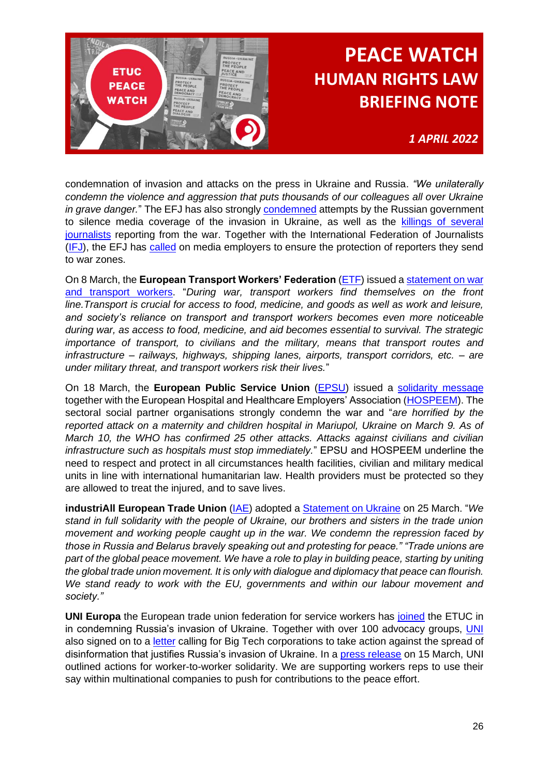

*1 APRIL 2022*

condemnation of invasion and attacks on the press in Ukraine and Russia. *"We unilaterally condemn the violence and aggression that puts thousands of our colleagues all over Ukraine in grave danger.*" The EFJ has also strongly [condemned](https://europeanjournalists.org/blog/2022/03/01/censorhip-russia-blocks-access-to-independent-media-over-war-coverage/) attempts by the Russian government to silence media coverage of the invasion in Ukraine, as well as the [killings of several](https://europeanjournalists.org/blog/2022/03/23/russian-reporter-oksana-baulina-is-sixth-journalist-to-die-in-ukraine-war/)  [journalists](https://europeanjournalists.org/blog/2022/03/23/russian-reporter-oksana-baulina-is-sixth-journalist-to-die-in-ukraine-war/) reporting from the war. Together with the International Federation of Journalists [\(IFJ\)](https://www.ifj.org/), the EFJ has [called](https://europeanjournalists.org/blog/2022/03/07/efj-and-ifj-call-on-media-to-protect-reporters-sent-to-ukraine/) on media employers to ensure the protection of reporters they send to war zones.

On 8 March, the **European Transport Workers' Federation** [\(ETF\)](https://www.etf-europe.org/) issued a [statement on war](https://www.etf-europe.org/war-and-transport-workers/)  [and transport workers.](https://www.etf-europe.org/war-and-transport-workers/) "*During war, transport workers find themselves on the front line.Transport is crucial for access to food, medicine, and goods as well as work and leisure, and society's reliance on transport and transport workers becomes even more noticeable during war, as access to food, medicine, and aid becomes essential to survival. The strategic importance of transport, to civilians and the military, means that transport routes and infrastructure – railways, highways, shipping lanes, airports, transport corridors, etc. – are under military threat, and transport workers risk their lives.*"

On 18 March, the **European Public Service Union** (**EPSU**) issued a **solidarity message** together with the European Hospital and Healthcare Employers' Association [\(HOSPEEM\)](https://hospeem.org/). The sectoral social partner organisations strongly condemn the war and "*are horrified by the reported attack on a maternity and children hospital in Mariupol, Ukraine on March 9. As of March 10, the WHO has confirmed 25 other attacks. Attacks against civilians and civilian infrastructure such as hospitals must stop immediately.*" EPSU and HOSPEEM underline the need to respect and protect in all circumstances health facilities, civilian and military medical units in line with international humanitarian law. Health providers must be protected so they are allowed to treat the injured, and to save lives.

**industriAll European Trade Union** (*IAE*) adopted a **Statement on Ukraine on 25 March.** "We *stand in full solidarity with the people of Ukraine, our brothers and sisters in the trade union movement and working people caught up in the war. We condemn the repression faced by those in Russia and Belarus bravely speaking out and protesting for peace." "Trade unions are*  part of the global peace movement. We have a role to play in building peace, starting by uniting *the global trade union movement. It is only with dialogue and diplomacy that peace can flourish. We stand ready to work with the EU, governments and within our labour movement and society."*

**UNI Europa** the European trade union federation for service workers has [joined](https://www.uni-europa.org/news/uni-joins-the-ituc-in-condemning-russias-invasion-of-ukraine/) the ETUC in in condemning Russia's invasion of Ukraine. Together with over 100 advocacy groups, [UNI](https://www.uni-europa.org/) also signed on to a [letter](https://www.uni-europa.org/news/joining-the-call-for-big-tech-action-on-ukraine/) calling for Big Tech corporations to take action against the spread of disinformation that justifies Russia's invasion of Ukraine. In a [press release](https://www.uni-europa.org/news/unions-united-for-peace-in-ukraine-%f0%9f%87%ba%f0%9f%87%a6/) on 15 March, UNI outlined actions for worker-to-worker solidarity. We are supporting workers reps to use their say within multinational companies to push for contributions to the peace effort.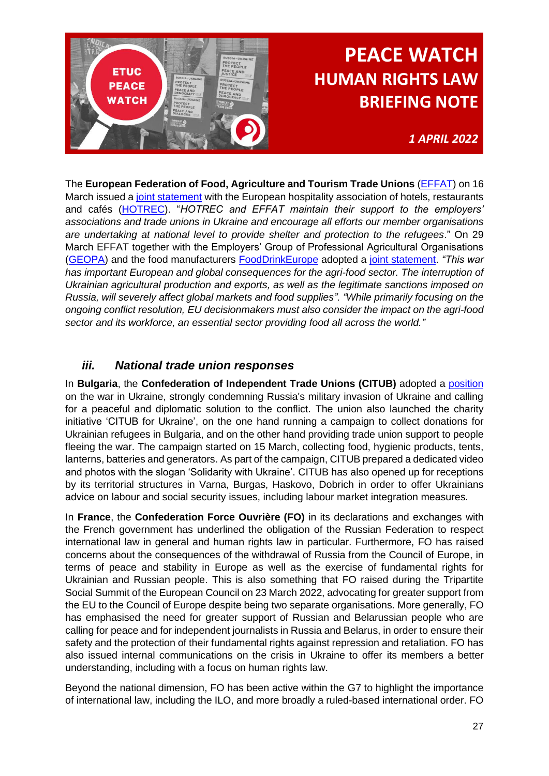

### *1 APRIL 2022*

The **European Federation of Food, Agriculture and Tourism Trade Unions** [\(EFFAT\)](https://effat.org/) on 16 March issued a [joint statement](https://effat.org/wp-content/uploads/2022/03/Joint-HOTREC-EFFAT-Statement-on-Ukraine-2022-03-16.pdf) with the European hospitality association of hotels, restaurants and cafés [\(HOTREC\)](https://www.hotrec.eu/). "*HOTREC and EFFAT maintain their support to the employers' associations and trade unions in Ukraine and encourage all efforts our member organisations are undertaking at national level to provide shelter and protection to the refugees*." On 29 March EFFAT together with the Employers' Group of Professional Agricultural Organisations [\(GEOPA\)](https://www.copa-cogeca.eu/about-geopa) and the food manufacturers [FoodDrinkEurope](https://www.fooddrinkeurope.eu/) adopted a [joint statement.](https://effat.org/wp-content/uploads/2022/03/EFFAT-FoodDrinkEurope-Geopa-Statement-on-the-war-in-Ukraine-final.pdf) *"This war has important European and global consequences for the agri-food sector. The interruption of Ukrainian agricultural production and exports, as well as the legitimate sanctions imposed on Russia, will severely affect global markets and food supplies". "While primarily focusing on the ongoing conflict resolution, EU decisionmakers must also consider the impact on the agri-food sector and its workforce, an essential sector providing food all across the world."*

### <span id="page-26-0"></span>*iii. National trade union responses*

In **Bulgaria**, the **Confederation of Independent Trade Unions (CITUB)** adopted a [position](https://knsb-bg.org/index.php/2022/03/17/pozicziya-na-knsb-vav-vrazka-s-vojnata-v-ukrajna/) on the war in Ukraine, strongly condemning Russia's military invasion of Ukraine and calling for a peaceful and diplomatic solution to the conflict. The union also launched the charity initiative 'CITUB for Ukraine', on the one hand running a campaign to collect donations for Ukrainian refugees in Bulgaria, and on the other hand providing trade union support to people fleeing the war. The campaign started on 15 March, collecting food, hygienic products, tents, lanterns, batteries and generators. As part of the campaign, CITUB prepared a dedicated video and photos with the slogan 'Solidarity with Ukraine'. CITUB has also opened up for receptions by its territorial structures in Varna, Burgas, Haskovo, Dobrich in order to offer Ukrainians advice on labour and social security issues, including labour market integration measures.

In **France**, the **Confederation Force Ouvrière (FO)** in its declarations and exchanges with the French government has underlined the obligation of the Russian Federation to respect international law in general and human rights law in particular. Furthermore, FO has raised concerns about the consequences of the withdrawal of Russia from the Council of Europe, in terms of peace and stability in Europe as well as the exercise of fundamental rights for Ukrainian and Russian people. This is also something that FO raised during the Tripartite Social Summit of the European Council on 23 March 2022, advocating for greater support from the EU to the Council of Europe despite being two separate organisations. More generally, FO has emphasised the need for greater support of Russian and Belarussian people who are calling for peace and for independent journalists in Russia and Belarus, in order to ensure their safety and the protection of their fundamental rights against repression and retaliation. FO has also issued internal communications on the crisis in Ukraine to offer its members a better understanding, including with a focus on human rights law.

Beyond the national dimension, FO has been active within the G7 to highlight the importance of international law, including the ILO, and more broadly a ruled-based international order. FO